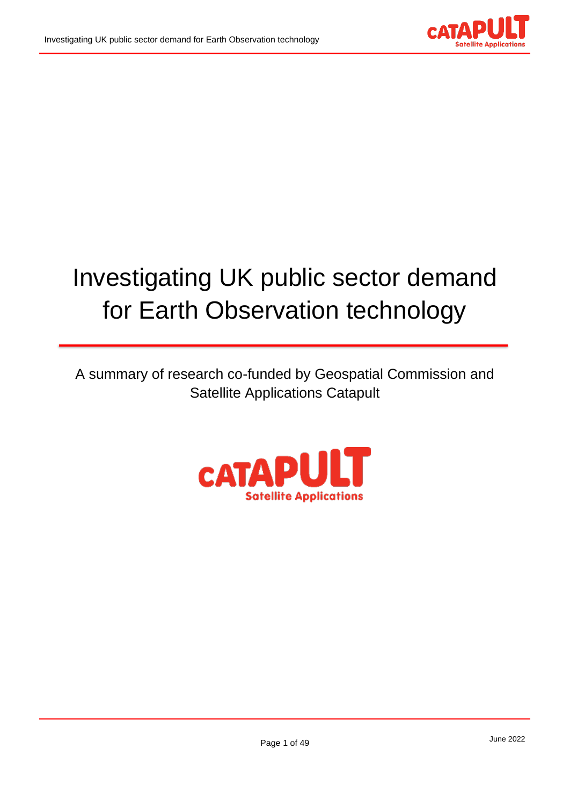

# Investigating UK public sector demand for Earth Observation technology

A summary of research co-funded by Geospatial Commission and Satellite Applications Catapult

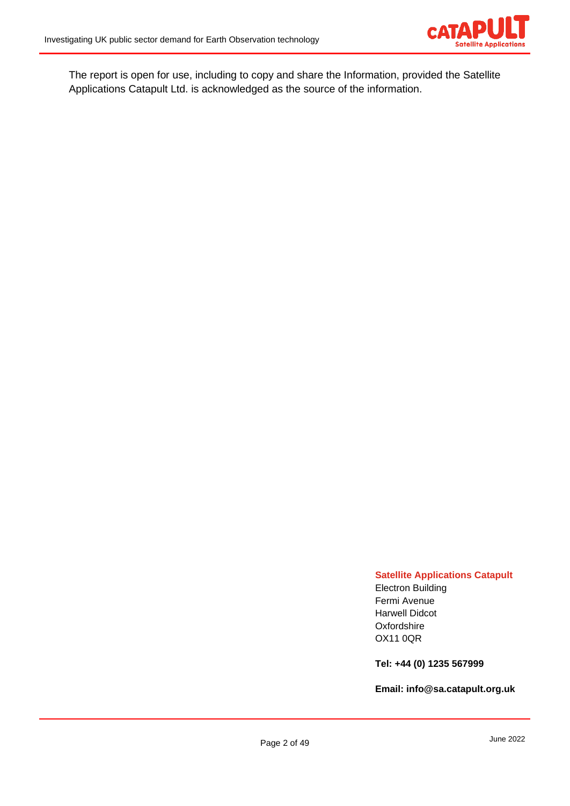

The report is open for use, including to copy and share the Information, provided the Satellite Applications Catapult Ltd. is acknowledged as the source of the information.

#### **Satellite Applications Catapult**

Electron Building Fermi Avenue Harwell Didcot **Oxfordshire** OX11 0QR

**Tel: +44 (0) 1235 567999**

**Email: [info@sa.catapult.org.uk](mailto:info@sa.catapult.org.uk)**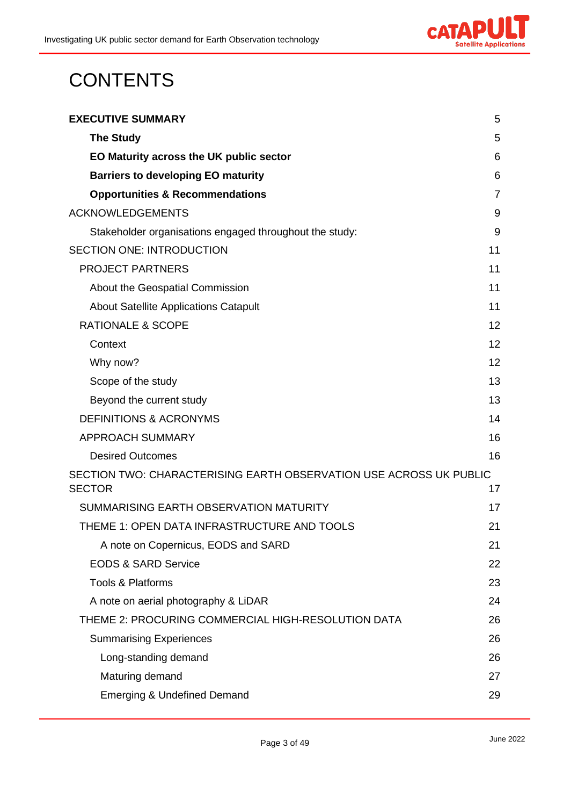

# **CONTENTS**

| <b>EXECUTIVE SUMMARY</b>                                                            | 5              |
|-------------------------------------------------------------------------------------|----------------|
| <b>The Study</b>                                                                    | 5              |
| EO Maturity across the UK public sector                                             | 6              |
| <b>Barriers to developing EO maturity</b>                                           | 6              |
| <b>Opportunities &amp; Recommendations</b>                                          | $\overline{7}$ |
| <b>ACKNOWLEDGEMENTS</b>                                                             | 9              |
| Stakeholder organisations engaged throughout the study:                             | 9              |
| <b>SECTION ONE: INTRODUCTION</b>                                                    | 11             |
| <b>PROJECT PARTNERS</b>                                                             | 11             |
| About the Geospatial Commission                                                     | 11             |
| <b>About Satellite Applications Catapult</b>                                        | 11             |
| <b>RATIONALE &amp; SCOPE</b>                                                        | 12             |
| Context                                                                             | 12             |
| Why now?                                                                            | 12             |
| Scope of the study                                                                  | 13             |
| Beyond the current study                                                            | 13             |
| <b>DEFINITIONS &amp; ACRONYMS</b>                                                   | 14             |
| <b>APPROACH SUMMARY</b>                                                             | 16             |
| <b>Desired Outcomes</b>                                                             | 16             |
| SECTION TWO: CHARACTERISING EARTH OBSERVATION USE ACROSS UK PUBLIC<br><b>SECTOR</b> | 17             |
| SUMMARISING EARTH OBSERVATION MATURITY                                              | 17             |
| THEME 1: OPEN DATA INFRASTRUCTURE AND TOOLS                                         | 21             |
| A note on Copernicus, EODS and SARD                                                 | 21             |
| <b>EODS &amp; SARD Service</b>                                                      | 22             |
| Tools & Platforms                                                                   | 23             |
| A note on aerial photography & LiDAR                                                | 24             |
| THEME 2: PROCURING COMMERCIAL HIGH-RESOLUTION DATA                                  | 26             |
| <b>Summarising Experiences</b>                                                      | 26             |
| Long-standing demand                                                                | 26             |
| Maturing demand                                                                     | 27             |
| <b>Emerging &amp; Undefined Demand</b>                                              | 29             |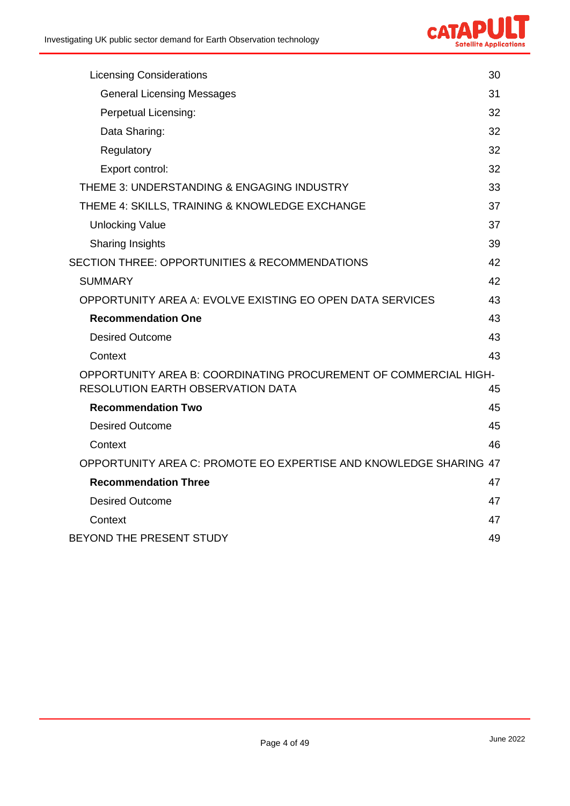

| <b>Licensing Considerations</b>                                                                              | 30 |
|--------------------------------------------------------------------------------------------------------------|----|
| <b>General Licensing Messages</b>                                                                            | 31 |
| Perpetual Licensing:                                                                                         | 32 |
| Data Sharing:                                                                                                | 32 |
| Regulatory                                                                                                   | 32 |
| Export control:                                                                                              | 32 |
| THEME 3: UNDERSTANDING & ENGAGING INDUSTRY                                                                   | 33 |
| THEME 4: SKILLS, TRAINING & KNOWLEDGE EXCHANGE                                                               | 37 |
| <b>Unlocking Value</b>                                                                                       | 37 |
| <b>Sharing Insights</b>                                                                                      | 39 |
| <b>SECTION THREE: OPPORTUNITIES &amp; RECOMMENDATIONS</b>                                                    | 42 |
| <b>SUMMARY</b>                                                                                               | 42 |
| OPPORTUNITY AREA A: EVOLVE EXISTING EO OPEN DATA SERVICES                                                    | 43 |
| <b>Recommendation One</b>                                                                                    | 43 |
| <b>Desired Outcome</b>                                                                                       | 43 |
| Context                                                                                                      | 43 |
| OPPORTUNITY AREA B: COORDINATING PROCUREMENT OF COMMERCIAL HIGH-<br><b>RESOLUTION EARTH OBSERVATION DATA</b> | 45 |
| <b>Recommendation Two</b>                                                                                    | 45 |
| <b>Desired Outcome</b>                                                                                       | 45 |
| Context                                                                                                      | 46 |
| OPPORTUNITY AREA C: PROMOTE EO EXPERTISE AND KNOWLEDGE SHARING 47                                            |    |
| <b>Recommendation Three</b>                                                                                  | 47 |
| <b>Desired Outcome</b>                                                                                       | 47 |
| Context                                                                                                      | 47 |
| BEYOND THE PRESENT STUDY                                                                                     | 49 |
|                                                                                                              |    |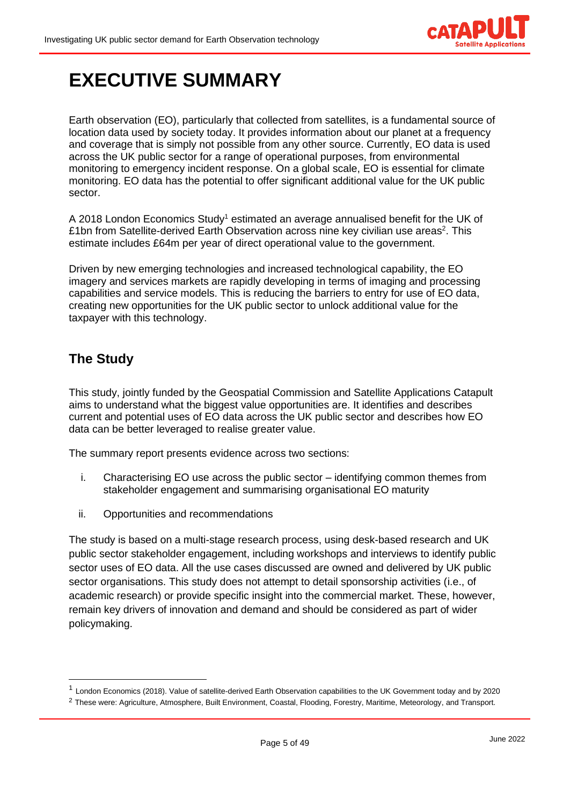

# <span id="page-4-0"></span>**EXECUTIVE SUMMARY**

Earth observation (EO), particularly that collected from satellites, is a fundamental source of location data used by society today. It provides information about our planet at a frequency and coverage that is simply not possible from any other source. Currently, EO data is used across the UK public sector for a range of operational purposes, from environmental monitoring to emergency incident response. On a global scale, EO is essential for climate monitoring. EO data has the potential to offer significant additional value for the UK public sector.

A 2018 London Economics Study<sup>1</sup> estimated an average annualised benefit for the UK of £1bn from Satellite-derived Earth Observation across nine key civilian use areas<sup>2</sup>. This estimate includes £64m per year of direct operational value to the government.

Driven by new emerging technologies and increased technological capability, the EO imagery and services markets are rapidly developing in terms of imaging and processing capabilities and service models. This is reducing the barriers to entry for use of EO data, creating new opportunities for the UK public sector to unlock additional value for the taxpayer with this technology.

# <span id="page-4-1"></span>**The Study**

This study, jointly funded by the Geospatial Commission and Satellite Applications Catapult aims to understand what the biggest value opportunities are. It identifies and describes current and potential uses of EO data across the UK public sector and describes how EO data can be better leveraged to realise greater value.

The summary report presents evidence across two sections:

- i. Characterising EO use across the public sector identifying common themes from stakeholder engagement and summarising organisational EO maturity
- ii. Opportunities and recommendations

The study is based on a multi-stage research process, using desk-based research and UK public sector stakeholder engagement, including workshops and interviews to identify public sector uses of EO data. All the use cases discussed are owned and delivered by UK public sector organisations. This study does not attempt to detail sponsorship activities (i.e., of academic research) or provide specific insight into the commercial market. These, however, remain key drivers of innovation and demand and should be considered as part of wider policymaking.

<sup>&</sup>lt;sup>1</sup> London Economics (2018). Value of satellite-derived Earth Observation capabilities to the UK Government today and by 2020

<sup>&</sup>lt;sup>2</sup> These were: Agriculture, Atmosphere, Built Environment, Coastal, Flooding, Forestry, Maritime, Meteorology, and Transport.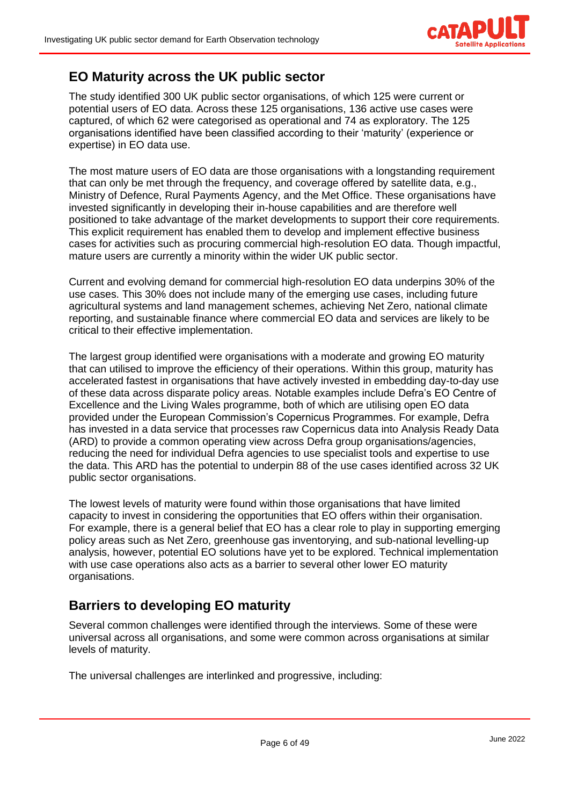

### <span id="page-5-0"></span>**EO Maturity across the UK public sector**

The study identified 300 UK public sector organisations, of which 125 were current or potential users of EO data. Across these 125 organisations, 136 active use cases were captured, of which 62 were categorised as operational and 74 as exploratory. The 125 organisations identified have been classified according to their 'maturity' (experience or expertise) in EO data use.

The most mature users of EO data are those organisations with a longstanding requirement that can only be met through the frequency, and coverage offered by satellite data, e.g., Ministry of Defence, Rural Payments Agency, and the Met Office. These organisations have invested significantly in developing their in-house capabilities and are therefore well positioned to take advantage of the market developments to support their core requirements. This explicit requirement has enabled them to develop and implement effective business cases for activities such as procuring commercial high-resolution EO data. Though impactful, mature users are currently a minority within the wider UK public sector.

Current and evolving demand for commercial high-resolution EO data underpins 30% of the use cases. This 30% does not include many of the emerging use cases, including future agricultural systems and land management schemes, achieving Net Zero, national climate reporting, and sustainable finance where commercial EO data and services are likely to be critical to their effective implementation.

The largest group identified were organisations with a moderate and growing EO maturity that can utilised to improve the efficiency of their operations. Within this group, maturity has accelerated fastest in organisations that have actively invested in embedding day-to-day use of these data across disparate policy areas. Notable examples include Defra's EO Centre of Excellence and the Living Wales programme, both of which are utilising open EO data provided under the European Commission's Copernicus Programmes. For example, Defra has invested in a data service that processes raw Copernicus data into Analysis Ready Data (ARD) to provide a common operating view across Defra group organisations/agencies, reducing the need for individual Defra agencies to use specialist tools and expertise to use the data. This ARD has the potential to underpin 88 of the use cases identified across 32 UK public sector organisations.

The lowest levels of maturity were found within those organisations that have limited capacity to invest in considering the opportunities that EO offers within their organisation. For example, there is a general belief that EO has a clear role to play in supporting emerging policy areas such as Net Zero, greenhouse gas inventorying, and sub-national levelling-up analysis, however, potential EO solutions have yet to be explored. Technical implementation with use case operations also acts as a barrier to several other lower EO maturity organisations.

### <span id="page-5-1"></span>**Barriers to developing EO maturity**

Several common challenges were identified through the interviews. Some of these were universal across all organisations, and some were common across organisations at similar levels of maturity.

The universal challenges are interlinked and progressive, including: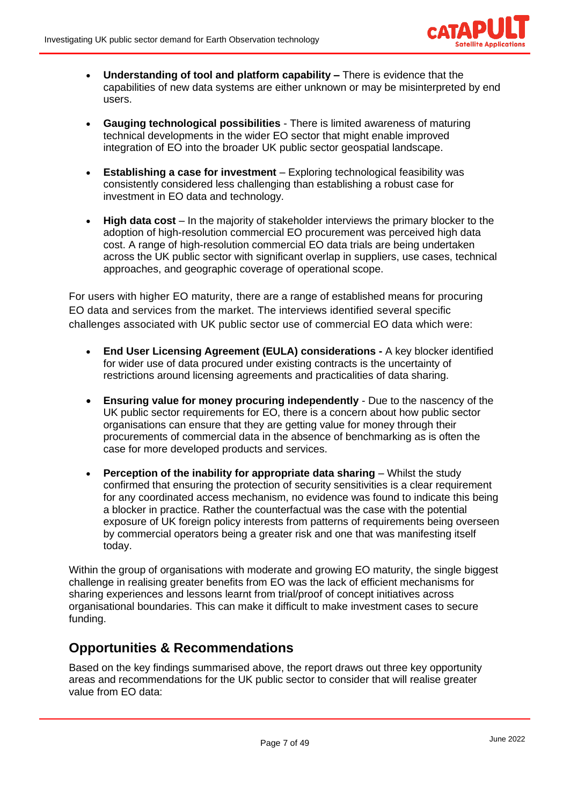

- **Understanding of tool and platform capability –** There is evidence that the capabilities of new data systems are either unknown or may be misinterpreted by end users.
- **Gauging technological possibilities** There is limited awareness of maturing technical developments in the wider EO sector that might enable improved integration of EO into the broader UK public sector geospatial landscape.
- **Establishing a case for investment** Exploring technological feasibility was consistently considered less challenging than establishing a robust case for investment in EO data and technology.
- **High data cost** In the majority of stakeholder interviews the primary blocker to the adoption of high-resolution commercial EO procurement was perceived high data cost. A range of high-resolution commercial EO data trials are being undertaken across the UK public sector with significant overlap in suppliers, use cases, technical approaches, and geographic coverage of operational scope.

For users with higher EO maturity, there are a range of established means for procuring EO data and services from the market. The interviews identified several specific challenges associated with UK public sector use of commercial EO data which were:

- **End User Licensing Agreement (EULA) considerations -** A key blocker identified for wider use of data procured under existing contracts is the uncertainty of restrictions around licensing agreements and practicalities of data sharing.
- **Ensuring value for money procuring independently** Due to the nascency of the UK public sector requirements for EO, there is a concern about how public sector organisations can ensure that they are getting value for money through their procurements of commercial data in the absence of benchmarking as is often the case for more developed products and services.
- **Perception of the inability for appropriate data sharing** Whilst the study confirmed that ensuring the protection of security sensitivities is a clear requirement for any coordinated access mechanism, no evidence was found to indicate this being a blocker in practice. Rather the counterfactual was the case with the potential exposure of UK foreign policy interests from patterns of requirements being overseen by commercial operators being a greater risk and one that was manifesting itself today.

Within the group of organisations with moderate and growing EO maturity, the single biggest challenge in realising greater benefits from EO was the lack of efficient mechanisms for sharing experiences and lessons learnt from trial/proof of concept initiatives across organisational boundaries. This can make it difficult to make investment cases to secure funding.

# <span id="page-6-0"></span>**Opportunities & Recommendations**

Based on the key findings summarised above, the report draws out three key opportunity areas and recommendations for the UK public sector to consider that will realise greater value from EO data: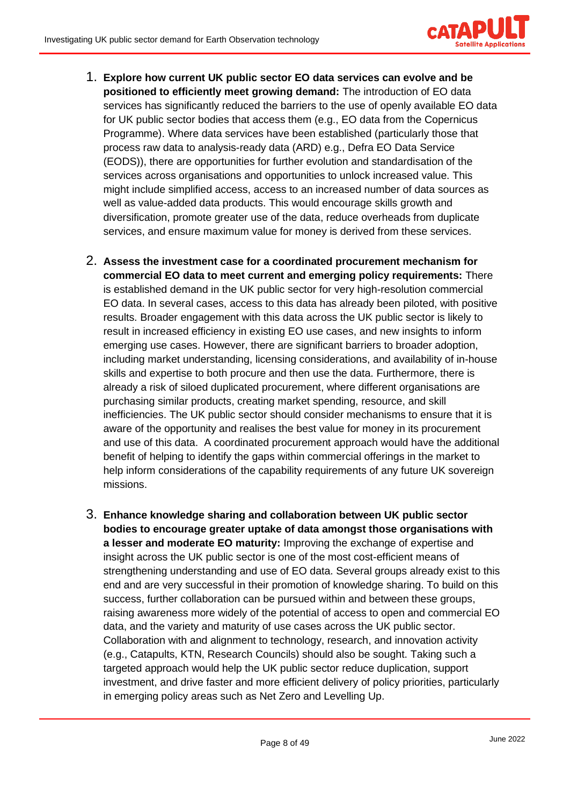

- 1. **Explore how current UK public sector EO data services can evolve and be positioned to efficiently meet growing demand:** The introduction of EO data services has significantly reduced the barriers to the use of openly available EO data for UK public sector bodies that access them (e.g., EO data from the Copernicus Programme). Where data services have been established (particularly those that process raw data to analysis-ready data (ARD) e.g., Defra EO Data Service (EODS)), there are opportunities for further evolution and standardisation of the services across organisations and opportunities to unlock increased value. This might include simplified access, access to an increased number of data sources as well as value-added data products. This would encourage skills growth and diversification, promote greater use of the data, reduce overheads from duplicate services, and ensure maximum value for money is derived from these services.
- 2. **Assess the investment case for a coordinated procurement mechanism for commercial EO data to meet current and emerging policy requirements:** There is established demand in the UK public sector for very high-resolution commercial EO data. In several cases, access to this data has already been piloted, with positive results. Broader engagement with this data across the UK public sector is likely to result in increased efficiency in existing EO use cases, and new insights to inform emerging use cases. However, there are significant barriers to broader adoption, including market understanding, licensing considerations, and availability of in-house skills and expertise to both procure and then use the data. Furthermore, there is already a risk of siloed duplicated procurement, where different organisations are purchasing similar products, creating market spending, resource, and skill inefficiencies. The UK public sector should consider mechanisms to ensure that it is aware of the opportunity and realises the best value for money in its procurement and use of this data. A coordinated procurement approach would have the additional benefit of helping to identify the gaps within commercial offerings in the market to help inform considerations of the capability requirements of any future UK sovereign missions.
- 3. **Enhance knowledge sharing and collaboration between UK public sector bodies to encourage greater uptake of data amongst those organisations with a lesser and moderate EO maturity:** Improving the exchange of expertise and insight across the UK public sector is one of the most cost-efficient means of strengthening understanding and use of EO data. Several groups already exist to this end and are very successful in their promotion of knowledge sharing. To build on this success, further collaboration can be pursued within and between these groups, raising awareness more widely of the potential of access to open and commercial EO data, and the variety and maturity of use cases across the UK public sector. Collaboration with and alignment to technology, research, and innovation activity (e.g., Catapults, KTN, Research Councils) should also be sought. Taking such a targeted approach would help the UK public sector reduce duplication, support investment, and drive faster and more efficient delivery of policy priorities, particularly in emerging policy areas such as Net Zero and Levelling Up.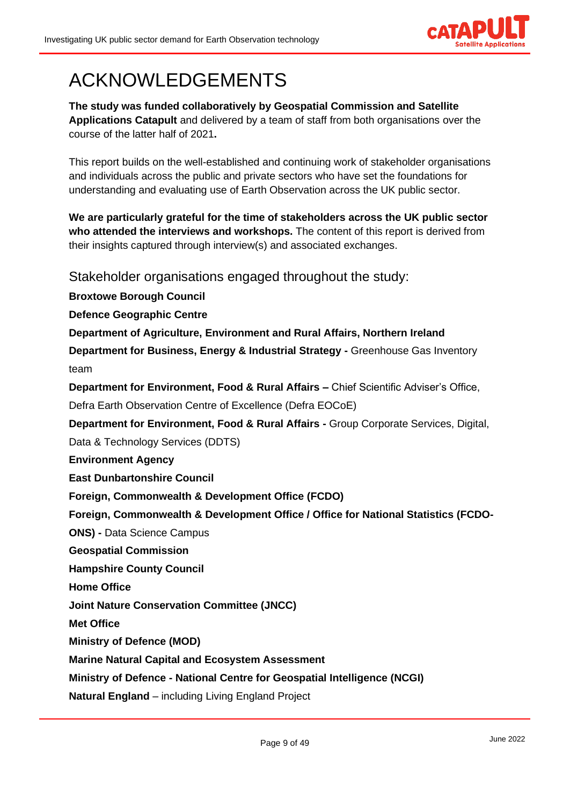

# <span id="page-8-0"></span>ACKNOWLEDGEMENTS

**The study was funded collaboratively by Geospatial Commission and Satellite Applications Catapult** and delivered by a team of staff from both organisations over the course of the latter half of 2021**.**

This report builds on the well-established and continuing work of stakeholder organisations and individuals across the public and private sectors who have set the foundations for understanding and evaluating use of Earth Observation across the UK public sector.

**We are particularly grateful for the time of stakeholders across the UK public sector who attended the interviews and workshops.** The content of this report is derived from their insights captured through interview(s) and associated exchanges.

<span id="page-8-1"></span>Stakeholder organisations engaged throughout the study:

**Broxtowe Borough Council**

**Defence Geographic Centre**

**Department of Agriculture, Environment and Rural Affairs, Northern Ireland**

**Department for Business, Energy & Industrial Strategy -** Greenhouse Gas Inventory team

**Department for Environment, Food & Rural Affairs –** Chief Scientific Adviser's Office, Defra Earth Observation Centre of Excellence (Defra EOCoE)

**Department for Environment, Food & Rural Affairs -** Group Corporate Services, Digital,

Data & Technology Services (DDTS)

**Environment Agency**

**East Dunbartonshire Council**

**Foreign, Commonwealth & Development Office (FCDO)**

**Foreign, Commonwealth & Development Office / Office for National Statistics (FCDO-**

**ONS) -** Data Science Campus

**Geospatial Commission**

**Hampshire County Council**

**Home Office**

**Joint Nature Conservation Committee (JNCC)**

**Met Office**

**Ministry of Defence (MOD)**

**Marine Natural Capital and Ecosystem Assessment**

**Ministry of Defence - National Centre for Geospatial Intelligence (NCGI)**

**Natural England** – including Living England Project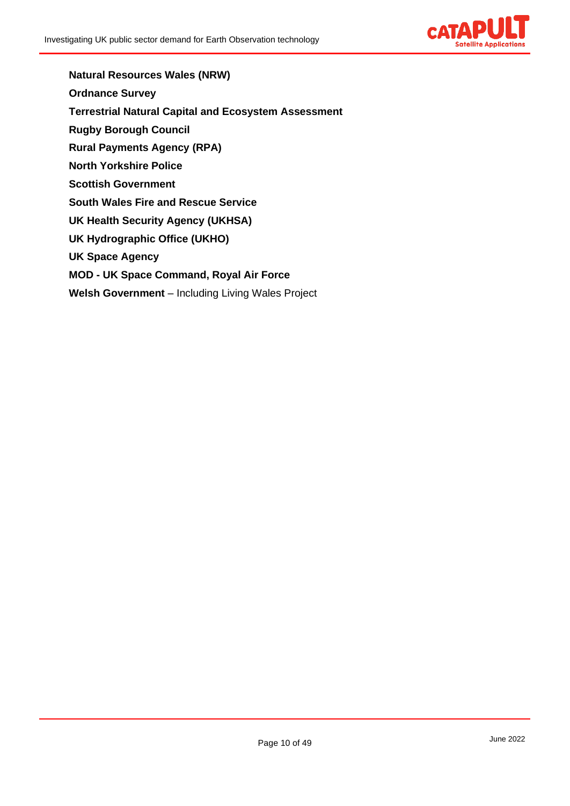

**Natural Resources Wales (NRW) Ordnance Survey Terrestrial Natural Capital and Ecosystem Assessment Rugby Borough Council Rural Payments Agency (RPA) North Yorkshire Police Scottish Government South Wales Fire and Rescue Service UK Health Security Agency (UKHSA) UK Hydrographic Office (UKHO) UK Space Agency MOD - UK Space Command, Royal Air Force Welsh Government** – Including Living Wales Project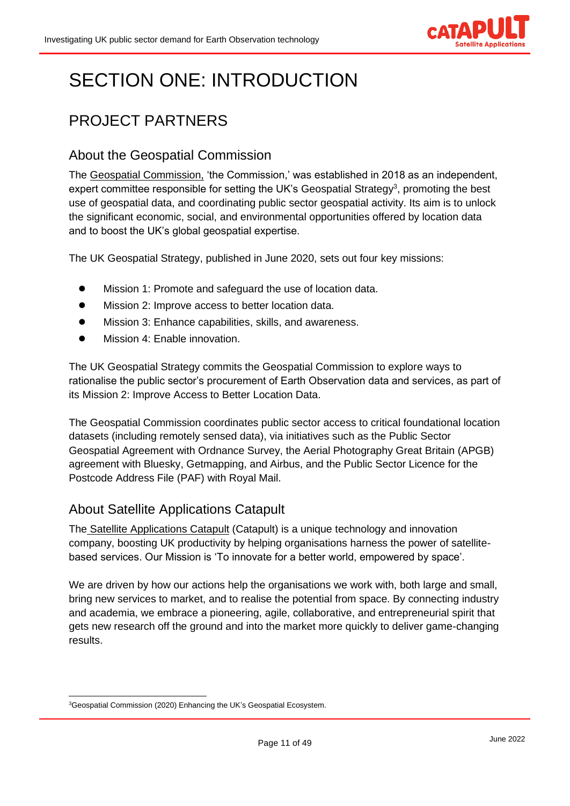

# <span id="page-10-0"></span>SECTION ONE: INTRODUCTION

# <span id="page-10-1"></span>PROJECT PARTNERS

## <span id="page-10-2"></span>About the Geospatial Commission

The [Geospatial Commission,](https://www.gov.uk/government/organisations/geospatial-commission/about) 'the Commission,' was established in 2018 as an independent, expert committee responsible for setting the UK's Geospatial Strategy<sup>3</sup>, promoting the best use of geospatial data, and coordinating public sector geospatial activity. Its aim is to unlock the significant economic, social, and environmental opportunities offered by location data and to boost the UK's global geospatial expertise.

The UK Geospatial Strategy, published in June 2020, sets out four key missions:

- Mission 1: Promote and safeguard the use of location data.
- Mission 2: Improve access to better location data.
- Mission 3: Enhance capabilities, skills, and awareness.
- Mission 4: Enable innovation.

The UK Geospatial Strategy commits the Geospatial Commission to explore ways to rationalise the public sector's procurement of Earth Observation data and services, as part of its Mission 2: Improve Access to Better Location Data.

The Geospatial Commission coordinates public sector access to critical foundational location datasets (including remotely sensed data), via initiatives such as the Public Sector Geospatial Agreement with Ordnance Survey, the Aerial Photography Great Britain (APGB) agreement with Bluesky, Getmapping, and Airbus, and the Public Sector Licence for the Postcode Address File (PAF) with Royal Mail.

### <span id="page-10-3"></span>About Satellite Applications Catapult

The [Satellite Applications Catapult](https://sa.catapult.org.uk/) (Catapult) is a unique technology and innovation company, boosting UK productivity by helping organisations harness the power of satellitebased services. Our Mission is 'To innovate for a better world, empowered by space'.

We are driven by how our actions help the organisations we work with, both large and small, bring new services to market, and to realise the potential from space. By connecting industry and academia, we embrace a pioneering, agile, collaborative, and entrepreneurial spirit that gets new research off the ground and into the market more quickly to deliver game-changing results.

<sup>&</sup>lt;sup>3</sup>Geospatial Commission (2020) Enhancing the UK's Geospatial Ecosystem.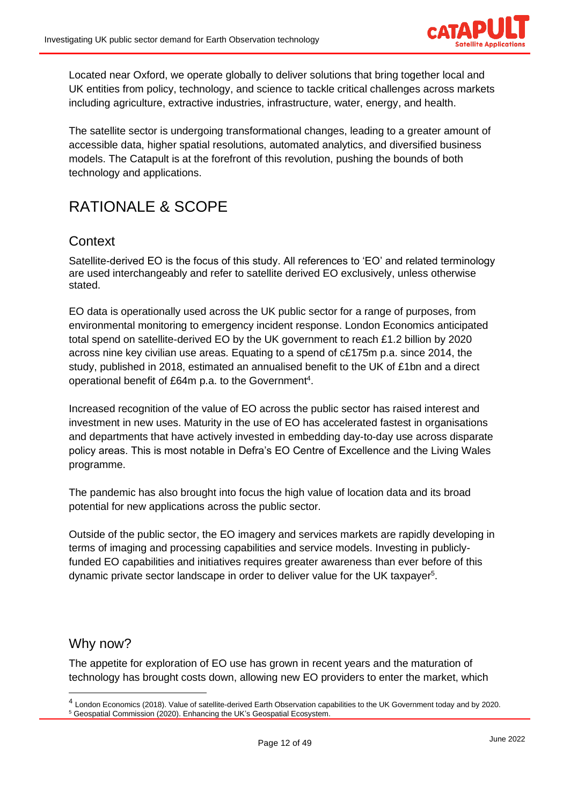

Located near Oxford, we operate globally to deliver solutions that bring together local and UK entities from policy, technology, and science to tackle critical challenges across markets including agriculture, extractive industries, infrastructure, water, energy, and health.

The satellite sector is undergoing transformational changes, leading to a greater amount of accessible data, higher spatial resolutions, automated analytics, and diversified business models. The Catapult is at the forefront of this revolution, pushing the bounds of both technology and applications.

# <span id="page-11-0"></span>RATIONALE & SCOPE

### <span id="page-11-1"></span>**Context**

Satellite-derived EO is the focus of this study. All references to 'EO' and related terminology are used interchangeably and refer to satellite derived EO exclusively, unless otherwise stated.

EO data is operationally used across the UK public sector for a range of purposes, from environmental monitoring to emergency incident response. London Economics anticipated total spend on satellite-derived EO by the UK government to reach £1.2 billion by 2020 across nine key civilian use areas. Equating to a spend of c£175m p.a. since 2014, the study, published in 2018, estimated an annualised benefit to the UK of £1bn and a direct operational benefit of £64m p.a. to the Government<sup>4</sup>.

Increased recognition of the value of EO across the public sector has raised interest and investment in new uses. Maturity in the use of EO has accelerated fastest in organisations and departments that have actively invested in embedding day-to-day use across disparate policy areas. This is most notable in Defra's EO Centre of Excellence and the Living Wales programme.

The pandemic has also brought into focus the high value of location data and its broad potential for new applications across the public sector.

Outside of the public sector, the EO imagery and services markets are rapidly developing in terms of imaging and processing capabilities and service models. Investing in publiclyfunded EO capabilities and initiatives requires greater awareness than ever before of this dynamic private sector landscape in order to deliver value for the UK taxpayer<sup>5</sup>.

### <span id="page-11-2"></span>Why now?

The appetite for exploration of EO use has grown in recent years and the maturation of technology has brought costs down, allowing new EO providers to enter the market, which

<sup>&</sup>lt;sup>4</sup> London Economics (2018). Value of satellite-derived Earth Observation capabilities to the UK Government today and by 2020. <sup>5</sup> Geospatial Commission (2020). Enhancing the UK's Geospatial Ecosystem.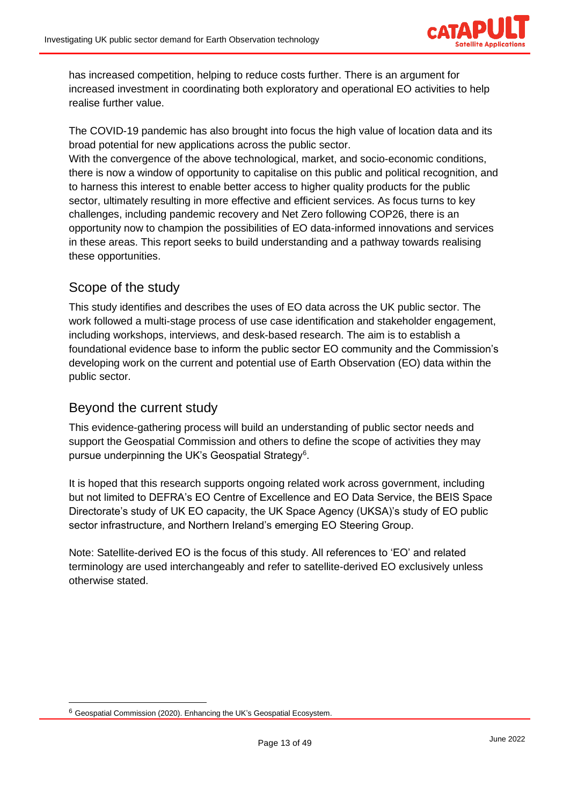

has increased competition, helping to reduce costs further. There is an argument for increased investment in coordinating both exploratory and operational EO activities to help realise further value.

The COVID-19 pandemic has also brought into focus the high value of location data and its broad potential for new applications across the public sector.

With the convergence of the above technological, market, and socio-economic conditions, there is now a window of opportunity to capitalise on this public and political recognition, and to harness this interest to enable better access to higher quality products for the public sector, ultimately resulting in more effective and efficient services. As focus turns to key challenges, including pandemic recovery and Net Zero following COP26, there is an opportunity now to champion the possibilities of EO data-informed innovations and services in these areas. This report seeks to build understanding and a pathway towards realising these opportunities.

## <span id="page-12-0"></span>Scope of the study

This study identifies and describes the uses of EO data across the UK public sector. The work followed a multi-stage process of use case identification and stakeholder engagement, including workshops, interviews, and desk-based research. The aim is to establish a foundational evidence base to inform the public sector EO community and the Commission's developing work on the current and potential use of Earth Observation (EO) data within the public sector.

## <span id="page-12-1"></span>Beyond the current study

This evidence-gathering process will build an understanding of public sector needs and support the Geospatial Commission and others to define the scope of activities they may pursue underpinning the UK's Geospatial Strategy<sup>6</sup>.

It is hoped that this research supports ongoing related work across government, including but not limited to DEFRA's EO Centre of Excellence and EO Data Service, the BEIS Space Directorate's study of UK EO capacity, the UK Space Agency (UKSA)'s study of EO public sector infrastructure, and Northern Ireland's emerging EO Steering Group.

Note: Satellite-derived EO is the focus of this study. All references to 'EO' and related terminology are used interchangeably and refer to satellite-derived EO exclusively unless otherwise stated.

<sup>6</sup> Geospatial Commission (2020). Enhancing the UK's Geospatial Ecosystem.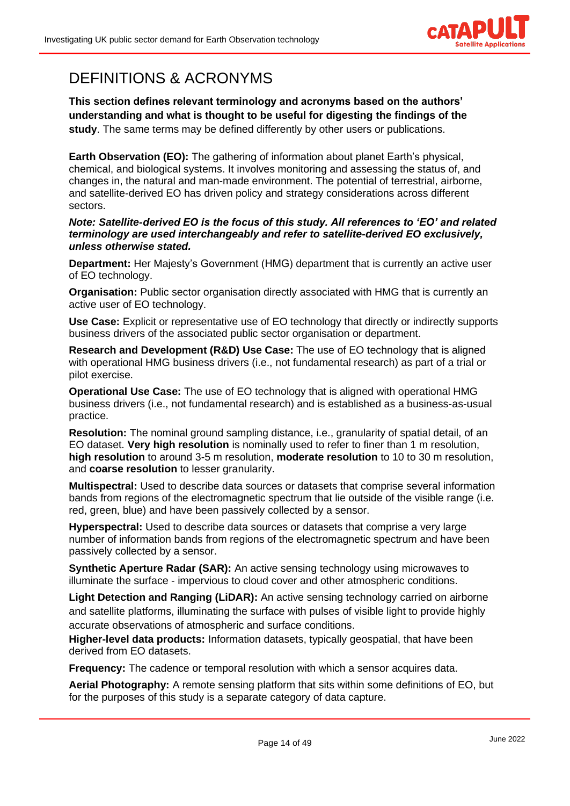

# <span id="page-13-0"></span>DEFINITIONS & ACRONYMS

**This section defines relevant terminology and acronyms based on the authors' understanding and what is thought to be useful for digesting the findings of the study**. The same terms may be defined differently by other users or publications.

**Earth Observation (EO):** The gathering of information about planet Earth's physical, chemical, and biological systems. It involves monitoring and assessing the status of, and changes in, the natural and man-made environment. The potential of terrestrial, airborne, and satellite-derived EO has driven policy and strategy considerations across different sectors.

#### *Note: Satellite-derived EO is the focus of this study. All references to 'EO' and related terminology are used interchangeably and refer to satellite-derived EO exclusively, unless otherwise stated.*

**Department:** Her Majesty's Government (HMG) department that is currently an active user of EO technology.

**Organisation:** Public sector organisation directly associated with HMG that is currently an active user of EO technology.

**Use Case:** Explicit or representative use of EO technology that directly or indirectly supports business drivers of the associated public sector organisation or department.

**Research and Development (R&D) Use Case:** The use of EO technology that is aligned with operational HMG business drivers (i.e., not fundamental research) as part of a trial or pilot exercise.

**Operational Use Case:** The use of EO technology that is aligned with operational HMG business drivers (i.e., not fundamental research) and is established as a business-as-usual practice.

**Resolution:** The nominal ground sampling distance, i.e., granularity of spatial detail, of an EO dataset. **Very high resolution** is nominally used to refer to finer than 1 m resolution, **high resolution** to around 3-5 m resolution, **moderate resolution** to 10 to 30 m resolution, and **coarse resolution** to lesser granularity.

**Multispectral:** Used to describe data sources or datasets that comprise several information bands from regions of the electromagnetic spectrum that lie outside of the visible range (i.e. red, green, blue) and have been passively collected by a sensor.

**Hyperspectral:** Used to describe data sources or datasets that comprise a very large number of information bands from regions of the electromagnetic spectrum and have been passively collected by a sensor.

**Synthetic Aperture Radar (SAR):** An active sensing technology using microwaves to illuminate the surface - impervious to cloud cover and other atmospheric conditions.

**Light Detection and Ranging (LiDAR):** An active sensing technology carried on airborne and satellite platforms, illuminating the surface with pulses of visible light to provide highly accurate observations of atmospheric and surface conditions.

**Higher-level data products:** Information datasets, typically geospatial, that have been derived from EO datasets.

**Frequency:** The cadence or temporal resolution with which a sensor acquires data.

**Aerial Photography:** A remote sensing platform that sits within some definitions of EO, but for the purposes of this study is a separate category of data capture.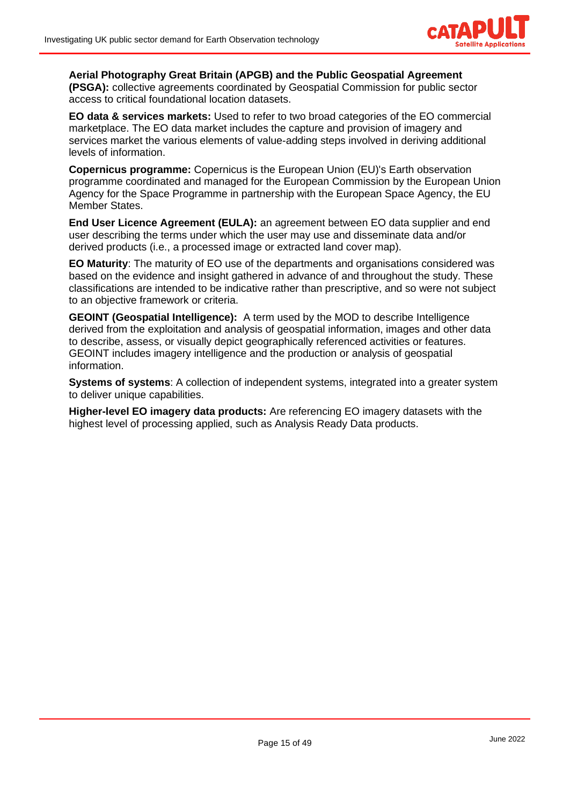

**Aerial Photography Great Britain (APGB) and the Public Geospatial Agreement (PSGA):** collective agreements coordinated by Geospatial Commission for public sector access to critical foundational location datasets.

**EO data & services markets:** Used to refer to two broad categories of the EO commercial marketplace. The EO data market includes the capture and provision of imagery and services market the various elements of value-adding steps involved in deriving additional levels of information.

**Copernicus programme:** Copernicus is the European Union (EU)'s Earth observation programme coordinated and managed for the European Commission by the European Union Agency for the Space Programme in partnership with the European Space Agency, the EU Member States.

**End User Licence Agreement (EULA):** an agreement between EO data supplier and end user describing the terms under which the user may use and disseminate data and/or derived products (i.e., a processed image or extracted land cover map).

**EO Maturity**: The maturity of EO use of the departments and organisations considered was based on the evidence and insight gathered in advance of and throughout the study. These classifications are intended to be indicative rather than prescriptive, and so were not subject to an objective framework or criteria.

**GEOINT (Geospatial Intelligence):** A term used by the MOD to describe Intelligence derived from the exploitation and analysis of geospatial information, images and other data to describe, assess, or visually depict geographically referenced activities or features. GEOINT includes imagery intelligence and the production or analysis of geospatial information.

**Systems of systems**: A collection of independent systems, integrated into a greater system to deliver unique capabilities.

**Higher-level EO imagery data products:** Are referencing EO imagery datasets with the highest level of processing applied, such as Analysis Ready Data products.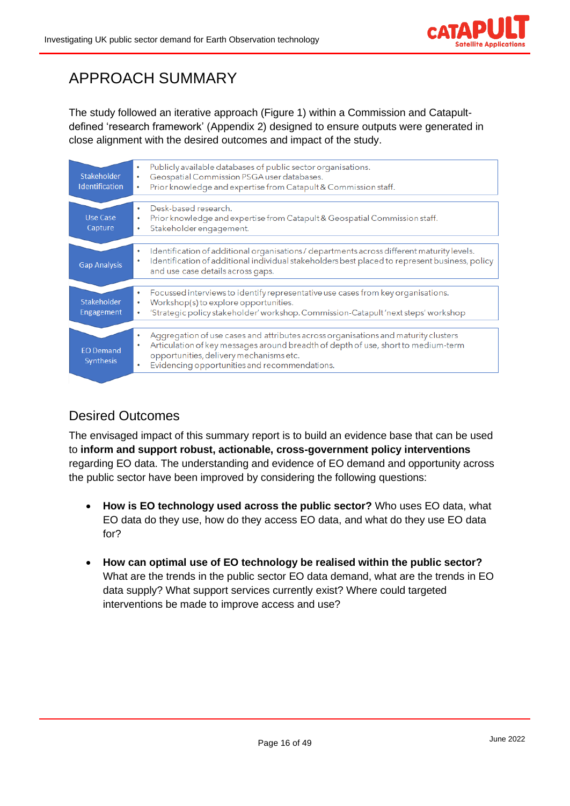

# <span id="page-15-0"></span>APPROACH SUMMARY

The study followed an iterative approach (Figure 1) within a Commission and Catapultdefined 'research framework' (Appendix 2) designed to ensure outputs were generated in close alignment with the desired outcomes and impact of the study.

| Stakeholder<br><b>Identification</b> | Publicly available databases of public sector organisations.<br>٠<br>Geospatial Commission PSGA user databases.<br>٠<br>Prior knowledge and expertise from Catapult & Commission staff.<br>۰                                                                             |
|--------------------------------------|--------------------------------------------------------------------------------------------------------------------------------------------------------------------------------------------------------------------------------------------------------------------------|
| Use Case<br>Capture                  | Desk-based research.<br>Prior knowledge and expertise from Catapult & Geospatial Commission staff.<br>Stakeholder engagement.<br>٠                                                                                                                                       |
| <b>Gap Analysis</b>                  | Identification of additional organisations / departments across different maturity levels.<br>٠<br>Identification of additional individual stakeholders best placed to represent business, policy<br>and use case details across gaps.                                   |
| Stakeholder<br>Engagement            | Focussed interviews to identify representative use cases from key organisations.<br>٠<br>Workshop(s) to explore opportunities.<br>'Strategic policy stakeholder' workshop. Commission-Catapult 'next steps' workshop<br>٠                                                |
| <b>EO Demand</b><br><b>Synthesis</b> | Aggregation of use cases and attributes across organisations and maturity clusters<br>Articulation of key messages around breadth of depth of use, short to medium-term<br>٠<br>opportunities, delivery mechanisms etc.<br>Evidencing opportunities and recommendations. |

# <span id="page-15-1"></span>Desired Outcomes

The envisaged impact of this summary report is to build an evidence base that can be used to **inform and support robust, actionable, cross-government policy interventions** regarding EO data. The understanding and evidence of EO demand and opportunity across the public sector have been improved by considering the following questions:

- **How is EO technology used across the public sector?** Who uses EO data, what EO data do they use, how do they access EO data, and what do they use EO data for?
- **How can optimal use of EO technology be realised within the public sector?**  What are the trends in the public sector EO data demand, what are the trends in EO data supply? What support services currently exist? Where could targeted interventions be made to improve access and use?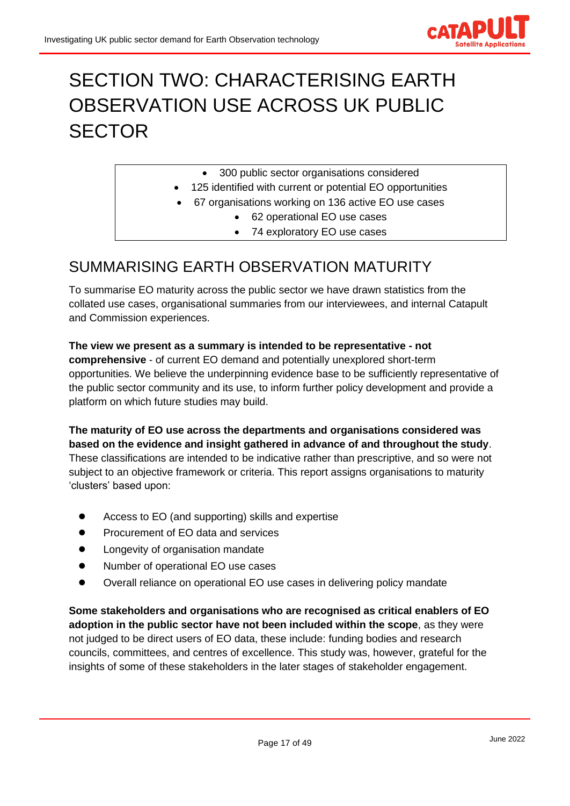

# <span id="page-16-0"></span>SECTION TWO: CHARACTERISING EARTH OBSERVATION USE ACROSS UK PUBLIC **SECTOR**

- 300 public sector organisations considered
- 125 identified with current or potential EO opportunities
- 67 organisations working on 136 active EO use cases
	- 62 operational EO use cases
	- 74 exploratory EO use cases

# <span id="page-16-1"></span>SUMMARISING EARTH OBSERVATION MATURITY

To summarise EO maturity across the public sector we have drawn statistics from the collated use cases, organisational summaries from our interviewees, and internal Catapult and Commission experiences.

**The view we present as a summary is intended to be representative - not comprehensive** - of current EO demand and potentially unexplored short-term opportunities. We believe the underpinning evidence base to be sufficiently representative of the public sector community and its use, to inform further policy development and provide a platform on which future studies may build.

**The maturity of EO use across the departments and organisations considered was based on the evidence and insight gathered in advance of and throughout the study**. These classifications are intended to be indicative rather than prescriptive, and so were not subject to an objective framework or criteria. This report assigns organisations to maturity 'clusters' based upon:

- Access to EO (and supporting) skills and expertise
- Procurement of EO data and services
- Longevity of organisation mandate
- Number of operational EO use cases
- Overall reliance on operational EO use cases in delivering policy mandate

**Some stakeholders and organisations who are recognised as critical enablers of EO adoption in the public sector have not been included within the scope**, as they were not judged to be direct users of EO data, these include: funding bodies and research councils, committees, and centres of excellence. This study was, however, grateful for the insights of some of these stakeholders in the later stages of stakeholder engagement.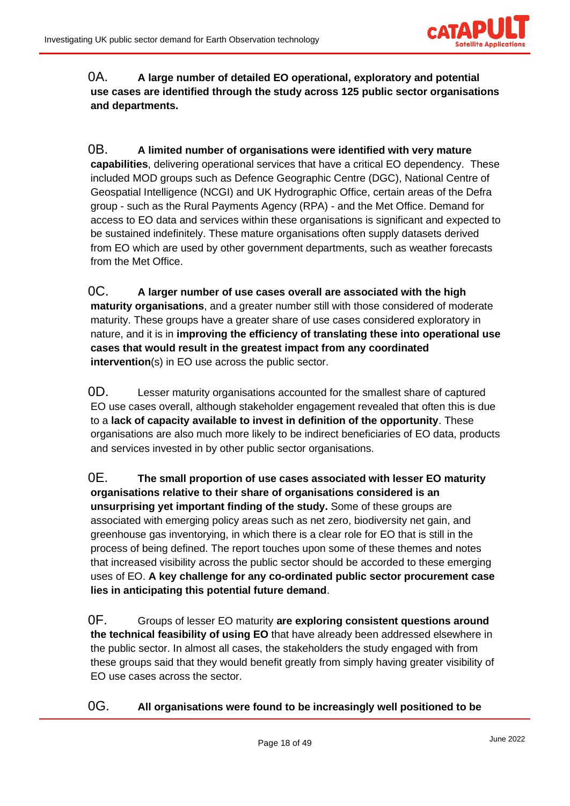

### 0A. **A large number of detailed EO operational, exploratory and potential use cases are identified through the study across 125 public sector organisations and departments.**

0B. **A limited number of organisations were identified with very mature capabilities**, delivering operational services that have a critical EO dependency. These included MOD groups such as Defence Geographic Centre (DGC), National Centre of Geospatial Intelligence (NCGI) and UK Hydrographic Office, certain areas of the Defra group - such as the Rural Payments Agency (RPA) - and the Met Office. Demand for access to EO data and services within these organisations is significant and expected to be sustained indefinitely. These mature organisations often supply datasets derived from EO which are used by other government departments, such as weather forecasts from the Met Office.

0C. **A larger number of use cases overall are associated with the high maturity organisations**, and a greater number still with those considered of moderate maturity. These groups have a greater share of use cases considered exploratory in nature, and it is in **improving the efficiency of translating these into operational use cases that would result in the greatest impact from any coordinated intervention**(s) in EO use across the public sector.

0D. Lesser maturity organisations accounted for the smallest share of captured EO use cases overall, although stakeholder engagement revealed that often this is due to a **lack of capacity available to invest in definition of the opportunity**. These organisations are also much more likely to be indirect beneficiaries of EO data, products and services invested in by other public sector organisations.

0E. **The small proportion of use cases associated with lesser EO maturity organisations relative to their share of organisations considered is an unsurprising yet important finding of the study.** Some of these groups are associated with emerging policy areas such as net zero, biodiversity net gain, and greenhouse gas inventorying, in which there is a clear role for EO that is still in the process of being defined. The report touches upon some of these themes and notes that increased visibility across the public sector should be accorded to these emerging uses of EO. **A key challenge for any co-ordinated public sector procurement case lies in anticipating this potential future demand**.

0F. Groups of lesser EO maturity **are exploring consistent questions around the technical feasibility of using EO** that have already been addressed elsewhere in the public sector. In almost all cases, the stakeholders the study engaged with from these groups said that they would benefit greatly from simply having greater visibility of EO use cases across the sector.

0G. **All organisations were found to be increasingly well positioned to be**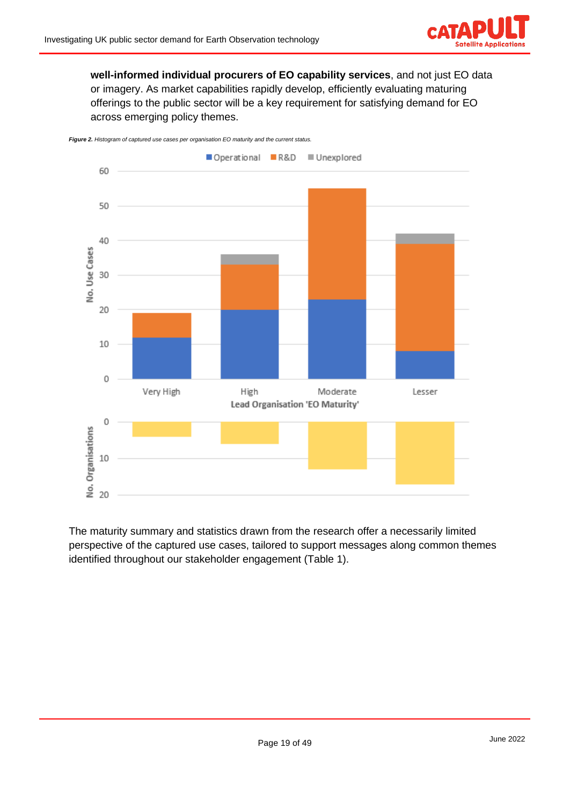

**well-informed individual procurers of EO capability services**, and not just EO data or imagery. As market capabilities rapidly develop, efficiently evaluating maturing offerings to the public sector will be a key requirement for satisfying demand for EO across emerging policy themes.





The maturity summary and statistics drawn from the research offer a necessarily limited perspective of the captured use cases, tailored to support messages along common themes identified throughout our stakeholder engagement (Table 1).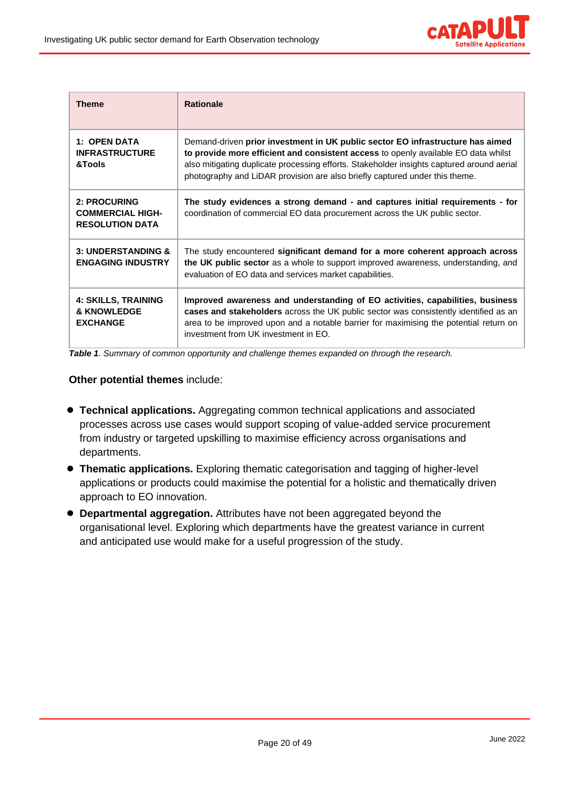

| <b>Theme</b>                                                      | <b>Rationale</b>                                                                                                                                                                                                                                                                                                                                 |  |
|-------------------------------------------------------------------|--------------------------------------------------------------------------------------------------------------------------------------------------------------------------------------------------------------------------------------------------------------------------------------------------------------------------------------------------|--|
| 1: OPEN DATA<br><b>INFRASTRUCTURE</b><br>&Tools                   | Demand-driven prior investment in UK public sector EO infrastructure has aimed<br>to provide more efficient and consistent access to openly available EO data whilst<br>also mitigating duplicate processing efforts. Stakeholder insights captured around aerial<br>photography and LiDAR provision are also briefly captured under this theme. |  |
| 2: PROCURING<br><b>COMMERCIAL HIGH-</b><br><b>RESOLUTION DATA</b> | The study evidences a strong demand - and captures initial requirements - for<br>coordination of commercial EO data procurement across the UK public sector.                                                                                                                                                                                     |  |
| <b>3: UNDERSTANDING &amp;</b><br><b>ENGAGING INDUSTRY</b>         | The study encountered significant demand for a more coherent approach across<br>the UK public sector as a whole to support improved awareness, understanding, and<br>evaluation of EO data and services market capabilities.                                                                                                                     |  |
| <b>4: SKILLS, TRAINING</b><br>& KNOWLEDGE<br><b>EXCHANGE</b>      | Improved awareness and understanding of EO activities, capabilities, business<br>cases and stakeholders across the UK public sector was consistently identified as an<br>area to be improved upon and a notable barrier for maximising the potential return on<br>investment from UK investment in EO.                                           |  |

*Table 1. Summary of common opportunity and challenge themes expanded on through the research.*

#### **Other potential themes** include:

- **Technical applications.** Aggregating common technical applications and associated processes across use cases would support scoping of value-added service procurement from industry or targeted upskilling to maximise efficiency across organisations and departments.
- **Thematic applications.** Exploring thematic categorisation and tagging of higher-level applications or products could maximise the potential for a holistic and thematically driven approach to EO innovation.
- **Departmental aggregation.** Attributes have not been aggregated beyond the organisational level. Exploring which departments have the greatest variance in current and anticipated use would make for a useful progression of the study.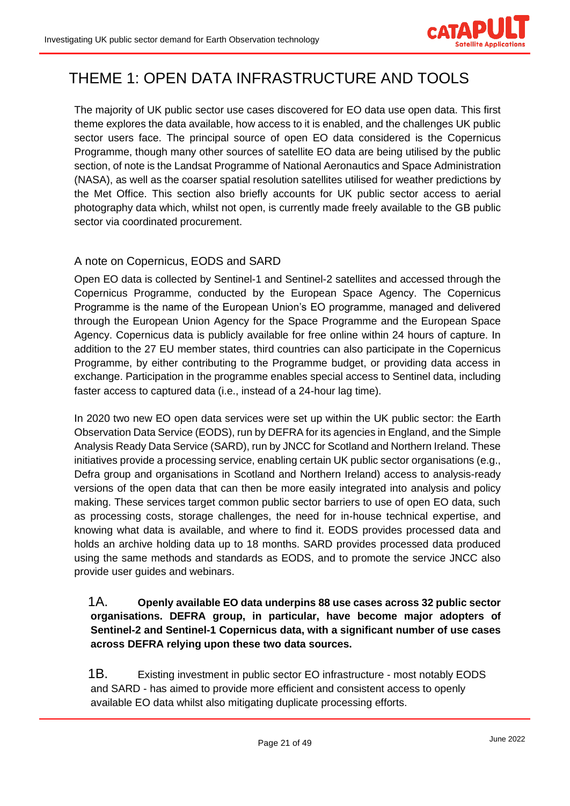

# <span id="page-20-0"></span>THEME 1: OPEN DATA INFRASTRUCTURE AND TOOLS

The majority of UK public sector use cases discovered for EO data use open data. This first theme explores the data available, how access to it is enabled, and the challenges UK public sector users face. The principal source of open EO data considered is the Copernicus Programme, though many other sources of satellite EO data are being utilised by the public section, of note is the Landsat Programme of National Aeronautics and Space Administration (NASA), as well as the coarser spatial resolution satellites utilised for weather predictions by the Met Office. This section also briefly accounts for UK public sector access to aerial photography data which, whilst not open, is currently made freely available to the GB public sector via coordinated procurement.

### <span id="page-20-1"></span>A note on Copernicus, EODS and SARD

Open EO data is collected by Sentinel-1 and Sentinel-2 satellites and accessed through the Copernicus Programme, conducted by the European Space Agency. The Copernicus Programme is the name of the European Union's EO programme, managed and delivered through the European Union Agency for the Space Programme and the European Space Agency. Copernicus data is publicly available for free online within 24 hours of capture. In addition to the 27 EU member states, third countries can also participate in the Copernicus Programme, by either contributing to the Programme budget, or providing data access in exchange. Participation in the programme enables special access to Sentinel data, including faster access to captured data (i.e., instead of a 24-hour lag time).

In 2020 two new EO open data services were set up within the UK public sector: the Earth Observation Data Service (EODS), run by DEFRA for its agencies in England, and the Simple Analysis Ready Data Service (SARD), run by JNCC for Scotland and Northern Ireland. These initiatives provide a processing service, enabling certain UK public sector organisations (e.g., Defra group and organisations in Scotland and Northern Ireland) access to analysis-ready versions of the open data that can then be more easily integrated into analysis and policy making. These services target common public sector barriers to use of open EO data, such as processing costs, storage challenges, the need for in-house technical expertise, and knowing what data is available, and where to find it. EODS provides processed data and holds an archive holding data up to 18 months. SARD provides processed data produced using the same methods and standards as EODS, and to promote the service JNCC also provide user guides and webinars.

#### 1A. **Openly available EO data underpins 88 use cases across 32 public sector organisations. DEFRA group, in particular, have become major adopters of Sentinel-2 and Sentinel-1 Copernicus data, with a significant number of use cases across DEFRA relying upon these two data sources.**

1B. Existing investment in public sector EO infrastructure - most notably EODS and SARD - has aimed to provide more efficient and consistent access to openly available EO data whilst also mitigating duplicate processing efforts.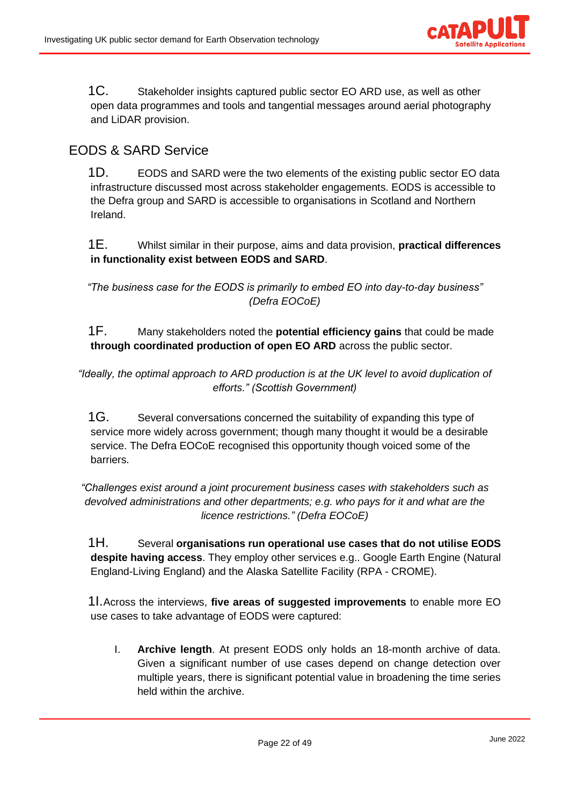

1C. Stakeholder insights captured public sector EO ARD use, as well as other open data programmes and tools and tangential messages around aerial photography and LiDAR provision.

## <span id="page-21-0"></span>EODS & SARD Service

1D. EODS and SARD were the two elements of the existing public sector EO data infrastructure discussed most across stakeholder engagements. EODS is accessible to the Defra group and SARD is accessible to organisations in Scotland and Northern Ireland.

1E. Whilst similar in their purpose, aims and data provision, **practical differences in functionality exist between EODS and SARD**.

*"The business case for the EODS is primarily to embed EO into day-to-day business" (Defra EOCoE)*

### 1F. Many stakeholders noted the **potential efficiency gains** that could be made **through coordinated production of open EO ARD** across the public sector.

*"Ideally, the optimal approach to ARD production is at the UK level to avoid duplication of efforts." (Scottish Government)*

1G. Several conversations concerned the suitability of expanding this type of service more widely across government; though many thought it would be a desirable service. The Defra EOCoE recognised this opportunity though voiced some of the barriers.

*"Challenges exist around a joint procurement business cases with stakeholders such as devolved administrations and other departments; e.g. who pays for it and what are the licence restrictions." (Defra EOCoE)*

1H. Several **organisations run operational use cases that do not utilise EODS despite having access**. They employ other services e.g.. Google Earth Engine (Natural England-Living England) and the Alaska Satellite Facility (RPA - CROME).

1I.Across the interviews, **five areas of suggested improvements** to enable more EO use cases to take advantage of EODS were captured:

I. **Archive length**. At present EODS only holds an 18-month archive of data. Given a significant number of use cases depend on change detection over multiple years, there is significant potential value in broadening the time series held within the archive.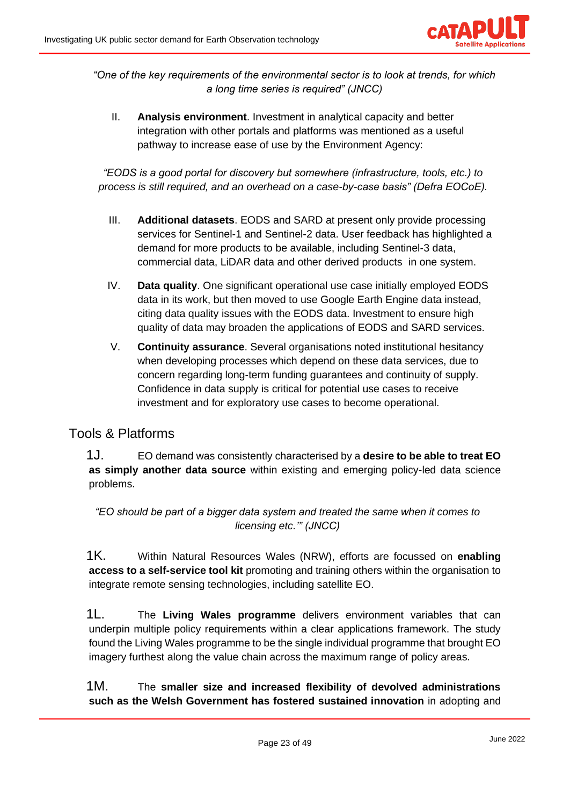

*"One of the key requirements of the environmental sector is to look at trends, for which a long time series is required" (JNCC)*

II. **Analysis environment**. Investment in analytical capacity and better integration with other portals and platforms was mentioned as a useful pathway to increase ease of use by the Environment Agency:

*"EODS is a good portal for discovery but somewhere (infrastructure, tools, etc.) to process is still required, and an overhead on a case-by-case basis" (Defra EOCoE).*

- III. **Additional datasets**. EODS and SARD at present only provide processing services for Sentinel-1 and Sentinel-2 data. User feedback has highlighted a demand for more products to be available, including Sentinel-3 data, commercial data, LiDAR data and other derived products in one system.
- IV. **Data quality**. One significant operational use case initially employed EODS data in its work, but then moved to use Google Earth Engine data instead, citing data quality issues with the EODS data. Investment to ensure high quality of data may broaden the applications of EODS and SARD services.
- V. **Continuity assurance**. Several organisations noted institutional hesitancy when developing processes which depend on these data services, due to concern regarding long-term funding guarantees and continuity of supply. Confidence in data supply is critical for potential use cases to receive investment and for exploratory use cases to become operational.

### <span id="page-22-0"></span>Tools & Platforms

1J. EO demand was consistently characterised by a **desire to be able to treat EO as simply another data source** within existing and emerging policy-led data science problems.

*"EO should be part of a bigger data system and treated the same when it comes to licensing etc.'" (JNCC)*

1K. Within Natural Resources Wales (NRW), efforts are focussed on **enabling access to a self-service tool kit** promoting and training others within the organisation to integrate remote sensing technologies, including satellite EO.

1L. The **Living Wales programme** delivers environment variables that can underpin multiple policy requirements within a clear applications framework. The study found the Living Wales programme to be the single individual programme that brought EO imagery furthest along the value chain across the maximum range of policy areas.

1M. The **smaller size and increased flexibility of devolved administrations such as the Welsh Government has fostered sustained innovation** in adopting and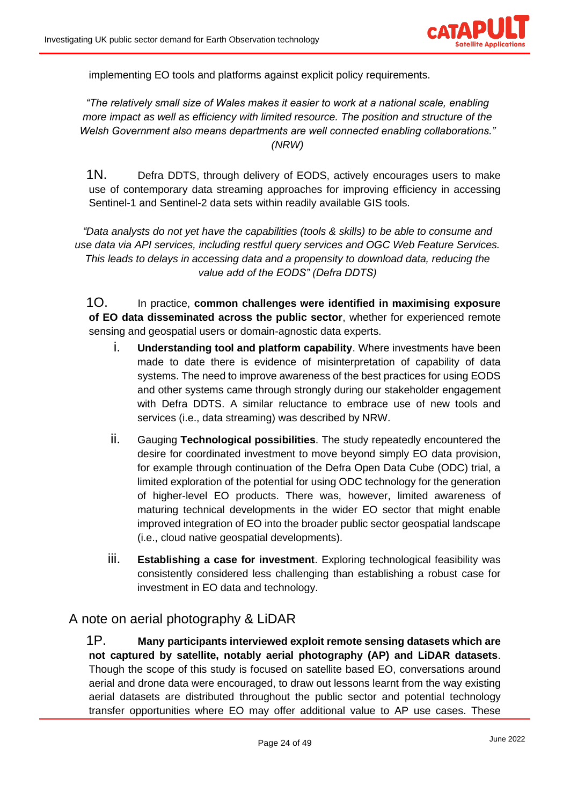

implementing EO tools and platforms against explicit policy requirements.

*"The relatively small size of Wales makes it easier to work at a national scale, enabling more impact as well as efficiency with limited resource. The position and structure of the Welsh Government also means departments are well connected enabling collaborations." (NRW)*

1N. Defra DDTS, through delivery of EODS, actively encourages users to make use of contemporary data streaming approaches for improving efficiency in accessing Sentinel-1 and Sentinel-2 data sets within readily available GIS tools.

*"Data analysts do not yet have the capabilities (tools & skills) to be able to consume and use data via API services, including restful query services and OGC Web Feature Services. This leads to delays in accessing data and a propensity to download data, reducing the value add of the EODS" (Defra DDTS)* 

1O. In practice, **common challenges were identified in maximising exposure of EO data disseminated across the public sector**, whether for experienced remote sensing and geospatial users or domain-agnostic data experts.

- i. **Understanding tool and platform capability**. Where investments have been made to date there is evidence of misinterpretation of capability of data systems. The need to improve awareness of the best practices for using EODS and other systems came through strongly during our stakeholder engagement with Defra DDTS. A similar reluctance to embrace use of new tools and services (i.e., data streaming) was described by NRW.
- ii. Gauging **Technological possibilities**. The study repeatedly encountered the desire for coordinated investment to move beyond simply EO data provision, for example through continuation of the Defra Open Data Cube (ODC) trial, a limited exploration of the potential for using ODC technology for the generation of higher-level EO products. There was, however, limited awareness of maturing technical developments in the wider EO sector that might enable improved integration of EO into the broader public sector geospatial landscape (i.e., cloud native geospatial developments).
- iii. **Establishing a case for investment**. Exploring technological feasibility was consistently considered less challenging than establishing a robust case for investment in EO data and technology.

### <span id="page-23-0"></span>A note on aerial photography & LiDAR

1P. **Many participants interviewed exploit remote sensing datasets which are not captured by satellite, notably aerial photography (AP) and LiDAR datasets**. Though the scope of this study is focused on satellite based EO, conversations around aerial and drone data were encouraged, to draw out lessons learnt from the way existing aerial datasets are distributed throughout the public sector and potential technology transfer opportunities where EO may offer additional value to AP use cases. These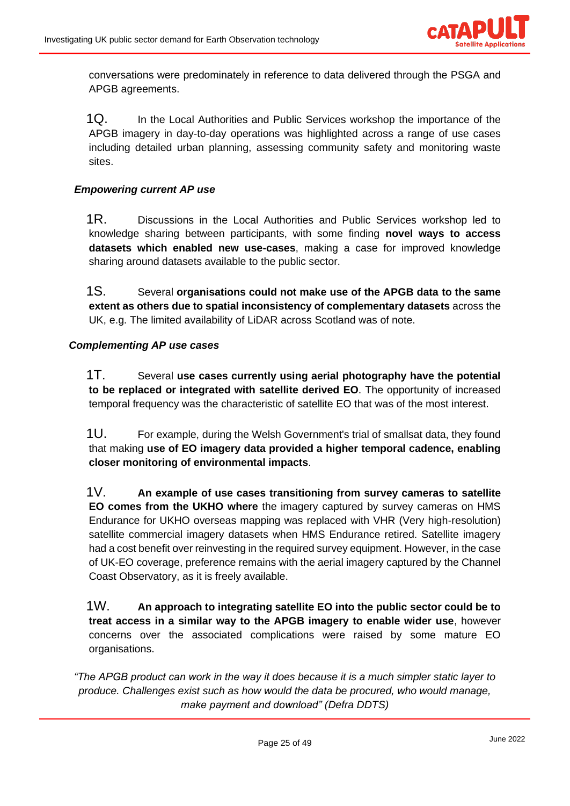

conversations were predominately in reference to data delivered through the PSGA and APGB agreements.

1Q. In the Local Authorities and Public Services workshop the importance of the APGB imagery in day-to-day operations was highlighted across a range of use cases including detailed urban planning, assessing community safety and monitoring waste sites.

#### *Empowering current AP use*

1R. Discussions in the Local Authorities and Public Services workshop led to knowledge sharing between participants, with some finding **novel ways to access datasets which enabled new use-cases**, making a case for improved knowledge sharing around datasets available to the public sector.

1S. Several **organisations could not make use of the APGB data to the same extent as others due to spatial inconsistency of complementary datasets** across the UK, e.g. The limited availability of LiDAR across Scotland was of note.

#### *Complementing AP use cases*

1T. Several **use cases currently using aerial photography have the potential to be replaced or integrated with satellite derived EO**. The opportunity of increased temporal frequency was the characteristic of satellite EO that was of the most interest.

1U. For example, during the Welsh Government's trial of smallsat data, they found that making **use of EO imagery data provided a higher temporal cadence, enabling closer monitoring of environmental impacts**.

1V. **An example of use cases transitioning from survey cameras to satellite EO comes from the UKHO where** the imagery captured by survey cameras on HMS Endurance for UKHO overseas mapping was replaced with VHR (Very high-resolution) satellite commercial imagery datasets when HMS Endurance retired. Satellite imagery had a cost benefit over reinvesting in the required survey equipment. However, in the case of UK-EO coverage, preference remains with the aerial imagery captured by the Channel Coast Observatory, as it is freely available.

1W. **An approach to integrating satellite EO into the public sector could be to treat access in a similar way to the APGB imagery to enable wider use**, however concerns over the associated complications were raised by some mature EO organisations.

*"The APGB product can work in the way it does because it is a much simpler static layer to produce. Challenges exist such as how would the data be procured, who would manage, make payment and download" (Defra DDTS)*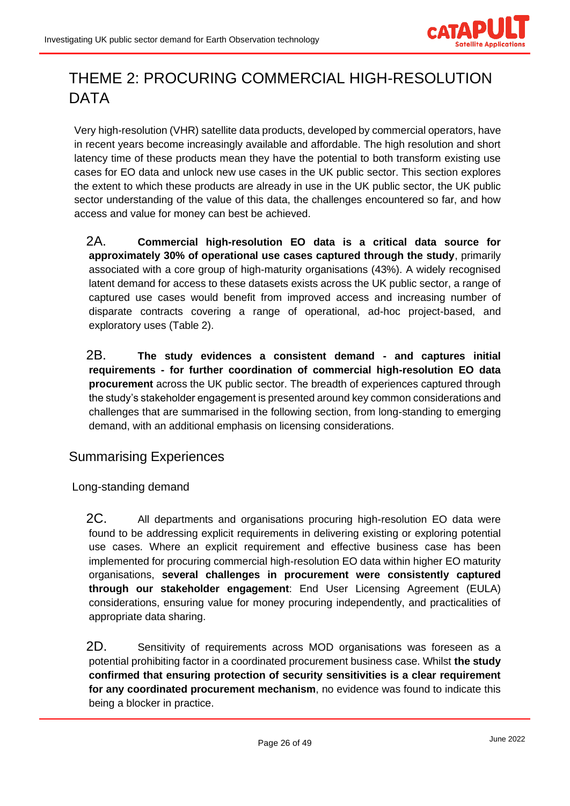

# <span id="page-25-0"></span>THEME 2: PROCURING COMMERCIAL HIGH-RESOLUTION DATA

Very high-resolution (VHR) satellite data products, developed by commercial operators, have in recent years become increasingly available and affordable. The high resolution and short latency time of these products mean they have the potential to both transform existing use cases for EO data and unlock new use cases in the UK public sector. This section explores the extent to which these products are already in use in the UK public sector, the UK public sector understanding of the value of this data, the challenges encountered so far, and how access and value for money can best be achieved.

2A. **Commercial high-resolution EO data is a critical data source for approximately 30% of operational use cases captured through the study**, primarily associated with a core group of high-maturity organisations (43%). A widely recognised latent demand for access to these datasets exists across the UK public sector, a range of captured use cases would benefit from improved access and increasing number of disparate contracts covering a range of operational, ad-hoc project-based, and exploratory uses (Table 2).

2B. **The study evidences a consistent demand - and captures initial requirements - for further coordination of commercial high-resolution EO data procurement** across the UK public sector. The breadth of experiences captured through the study's stakeholder engagement is presented around key common considerations and challenges that are summarised in the following section, from long-standing to emerging demand, with an additional emphasis on licensing considerations.

# <span id="page-25-1"></span>Summarising Experiences

<span id="page-25-2"></span>Long-standing demand

2C. All departments and organisations procuring high-resolution EO data were found to be addressing explicit requirements in delivering existing or exploring potential use cases. Where an explicit requirement and effective business case has been implemented for procuring commercial high-resolution EO data within higher EO maturity organisations, **several challenges in procurement were consistently captured through our stakeholder engagement**: End User Licensing Agreement (EULA) considerations, ensuring value for money procuring independently, and practicalities of appropriate data sharing.

2D. Sensitivity of requirements across MOD organisations was foreseen as a potential prohibiting factor in a coordinated procurement business case. Whilst **the study confirmed that ensuring protection of security sensitivities is a clear requirement for any coordinated procurement mechanism**, no evidence was found to indicate this being a blocker in practice.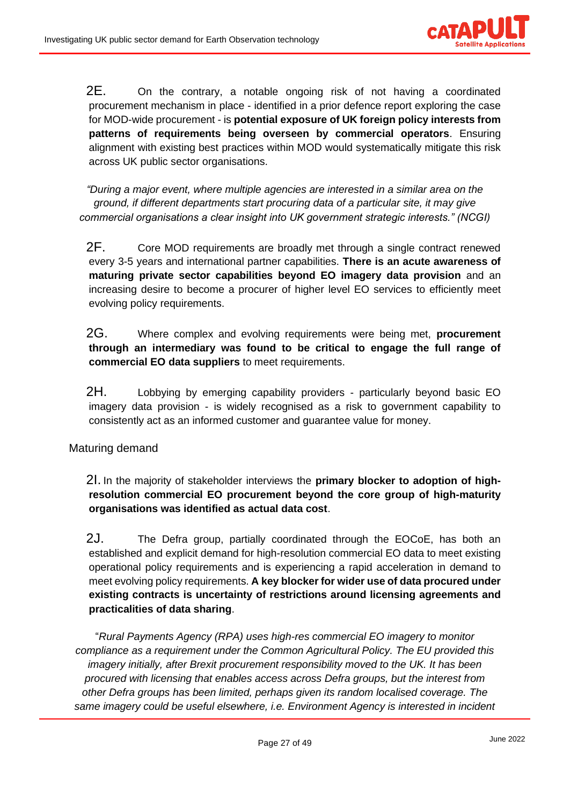

2E. On the contrary, a notable ongoing risk of not having a coordinated procurement mechanism in place - identified in a prior defence report exploring the case for MOD-wide procurement - is **potential exposure of UK foreign policy interests from patterns of requirements being overseen by commercial operators**. Ensuring alignment with existing best practices within MOD would systematically mitigate this risk across UK public sector organisations.

*"During a major event, where multiple agencies are interested in a similar area on the ground, if different departments start procuring data of a particular site, it may give commercial organisations a clear insight into UK government strategic interests." (NCGI)*

2F. Core MOD requirements are broadly met through a single contract renewed every 3-5 years and international partner capabilities. **There is an acute awareness of maturing private sector capabilities beyond EO imagery data provision** and an increasing desire to become a procurer of higher level EO services to efficiently meet evolving policy requirements.

2G. Where complex and evolving requirements were being met, **procurement through an intermediary was found to be critical to engage the full range of commercial EO data suppliers** to meet requirements.

2H. Lobbying by emerging capability providers - particularly beyond basic EO imagery data provision - is widely recognised as a risk to government capability to consistently act as an informed customer and guarantee value for money.

<span id="page-26-0"></span>Maturing demand

2I. In the majority of stakeholder interviews the **primary blocker to adoption of highresolution commercial EO procurement beyond the core group of high-maturity organisations was identified as actual data cost**.

2J. The Defra group, partially coordinated through the EOCoE, has both an established and explicit demand for high-resolution commercial EO data to meet existing operational policy requirements and is experiencing a rapid acceleration in demand to meet evolving policy requirements. **A key blocker for wider use of data procured under existing contracts is uncertainty of restrictions around licensing agreements and practicalities of data sharing**.

"*Rural Payments Agency (RPA) uses high-res commercial EO imagery to monitor compliance as a requirement under the Common Agricultural Policy. The EU provided this imagery initially, after Brexit procurement responsibility moved to the UK. It has been procured with licensing that enables access across Defra groups, but the interest from other Defra groups has been limited, perhaps given its random localised coverage. The same imagery could be useful elsewhere, i.e. Environment Agency is interested in incident*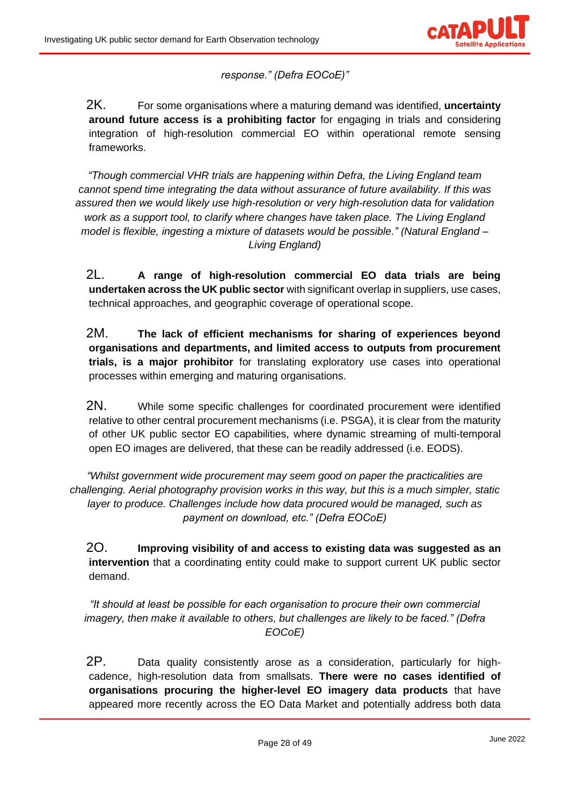

*response." (Defra EOCoE)"*

2K. For some organisations where a maturing demand was identified, **uncertainty around future access is a prohibiting factor** for engaging in trials and considering integration of high-resolution commercial EO within operational remote sensing frameworks.

*"Though commercial VHR trials are happening within Defra, the Living England team cannot spend time integrating the data without assurance of future availability. If this was assured then we would likely use high-resolution or very high-resolution data for validation work as a support tool, to clarify where changes have taken place. The Living England model is flexible, ingesting a mixture of datasets would be possible." (Natural England – Living England)*

2L. **A range of high-resolution commercial EO data trials are being undertaken across the UK public sector** with significant overlap in suppliers, use cases, technical approaches, and geographic coverage of operational scope.

2M. **The lack of efficient mechanisms for sharing of experiences beyond organisations and departments, and limited access to outputs from procurement trials, is a major prohibitor** for translating exploratory use cases into operational processes within emerging and maturing organisations.

2N. While some specific challenges for coordinated procurement were identified relative to other central procurement mechanisms (i.e. PSGA), it is clear from the maturity of other UK public sector EO capabilities, where dynamic streaming of multi-temporal open EO images are delivered, that these can be readily addressed (i.e. EODS).

*"Whilst government wide procurement may seem good on paper the practicalities are challenging. Aerial photography provision works in this way, but this is a much simpler, static layer to produce. Challenges include how data procured would be managed, such as payment on download, etc." (Defra EOCoE)*

2O. **Improving visibility of and access to existing data was suggested as an intervention** that a coordinating entity could make to support current UK public sector demand.

*"It should at least be possible for each organisation to procure their own commercial imagery, then make it available to others, but challenges are likely to be faced." (Defra EOCoE)*

2P. Data quality consistently arose as a consideration, particularly for highcadence, high-resolution data from smallsats. **There were no cases identified of organisations procuring the higher-level EO imagery data products** that have appeared more recently across the EO Data Market and potentially address both data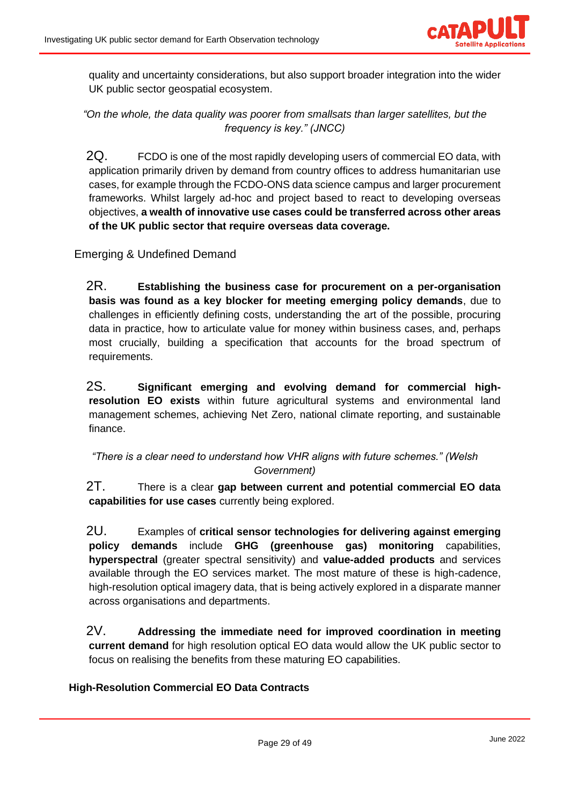

quality and uncertainty considerations, but also support broader integration into the wider UK public sector geospatial ecosystem.

*"On the whole, the data quality was poorer from smallsats than larger satellites, but the frequency is key." (JNCC)*

2Q. FCDO is one of the most rapidly developing users of commercial EO data, with application primarily driven by demand from country offices to address humanitarian use cases, for example through the FCDO-ONS data science campus and larger procurement frameworks. Whilst largely ad-hoc and project based to react to developing overseas objectives, **a wealth of innovative use cases could be transferred across other areas of the UK public sector that require overseas data coverage.**

<span id="page-28-0"></span>Emerging & Undefined Demand

2R. **Establishing the business case for procurement on a per-organisation basis was found as a key blocker for meeting emerging policy demands**, due to challenges in efficiently defining costs, understanding the art of the possible, procuring data in practice, how to articulate value for money within business cases, and, perhaps most crucially, building a specification that accounts for the broad spectrum of requirements.

2S. **Significant emerging and evolving demand for commercial highresolution EO exists** within future agricultural systems and environmental land management schemes, achieving Net Zero, national climate reporting, and sustainable finance.

*"There is a clear need to understand how VHR aligns with future schemes." (Welsh Government)*

2T. There is a clear **gap between current and potential commercial EO data capabilities for use cases** currently being explored.

2U. Examples of **critical sensor technologies for delivering against emerging policy demands** include **GHG (greenhouse gas) monitoring** capabilities, **hyperspectral** (greater spectral sensitivity) and **value-added products** and services available through the EO services market. The most mature of these is high-cadence, high-resolution optical imagery data, that is being actively explored in a disparate manner across organisations and departments.

2V. **Addressing the immediate need for improved coordination in meeting current demand** for high resolution optical EO data would allow the UK public sector to focus on realising the benefits from these maturing EO capabilities.

#### **High-Resolution Commercial EO Data Contracts**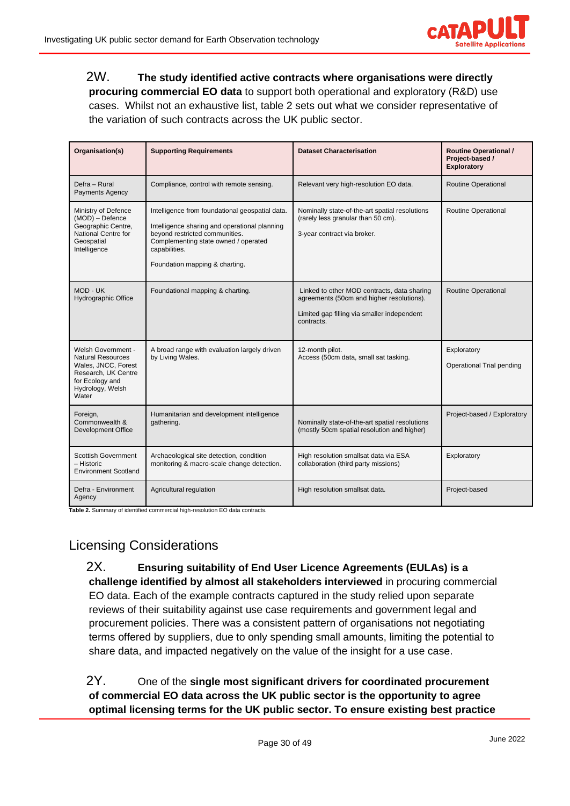

2W. **The study identified active contracts where organisations were directly procuring commercial EO data** to support both operational and exploratory (R&D) use cases. Whilst not an exhaustive list, table 2 sets out what we consider representative of the variation of such contracts across the UK public sector.

| Organisation(s)                                                                                                                                     | <b>Supporting Requirements</b>                                                                                                                                                                                                | <b>Dataset Characterisation</b>                                                                                                                       | <b>Routine Operational /</b><br>Project-based /<br>Exploratory |
|-----------------------------------------------------------------------------------------------------------------------------------------------------|-------------------------------------------------------------------------------------------------------------------------------------------------------------------------------------------------------------------------------|-------------------------------------------------------------------------------------------------------------------------------------------------------|----------------------------------------------------------------|
| Defra - Rural<br><b>Payments Agency</b>                                                                                                             | Compliance, control with remote sensing.                                                                                                                                                                                      | Relevant very high-resolution EO data.                                                                                                                | Routine Operational                                            |
| Ministry of Defence<br>(MOD) - Defence<br>Geographic Centre,<br>National Centre for<br>Geospatial<br>Intelligence                                   | Intelligence from foundational geospatial data.<br>Intelligence sharing and operational planning<br>beyond restricted communities.<br>Complementing state owned / operated<br>capabilities.<br>Foundation mapping & charting. | Nominally state-of-the-art spatial resolutions<br>(rarely less granular than 50 cm).<br>3-year contract via broker.                                   | Routine Operational                                            |
| MOD - UK<br>Hydrographic Office                                                                                                                     | Foundational mapping & charting.                                                                                                                                                                                              | Linked to other MOD contracts, data sharing<br>agreements (50cm and higher resolutions).<br>Limited gap filling via smaller independent<br>contracts. | Routine Operational                                            |
| <b>Welsh Government -</b><br><b>Natural Resources</b><br>Wales, JNCC, Forest<br>Research, UK Centre<br>for Ecology and<br>Hydrology, Welsh<br>Water | A broad range with evaluation largely driven<br>by Living Wales.                                                                                                                                                              | 12-month pilot.<br>Access (50cm data, small sat tasking.                                                                                              | Exploratory<br>Operational Trial pending                       |
| Foreign,<br>Commonwealth &<br><b>Development Office</b>                                                                                             | Humanitarian and development intelligence<br>gathering.                                                                                                                                                                       | Nominally state-of-the-art spatial resolutions<br>(mostly 50cm spatial resolution and higher)                                                         | Project-based / Exploratory                                    |
| <b>Scottish Government</b><br>– Historic<br><b>Environment Scotland</b>                                                                             | Archaeological site detection, condition<br>monitoring & macro-scale change detection.                                                                                                                                        | High resolution smallsat data via ESA<br>collaboration (third party missions)                                                                         | Exploratory                                                    |
| Defra - Environment<br>Agency                                                                                                                       | Agricultural regulation                                                                                                                                                                                                       | High resolution smallsat data.                                                                                                                        | Project-based                                                  |

**Table 2.** Summary of identified commercial high-resolution EO data contracts.

### <span id="page-29-0"></span>Licensing Considerations

2X. **Ensuring suitability of End User Licence Agreements (EULAs) is a challenge identified by almost all stakeholders interviewed** in procuring commercial EO data. Each of the example contracts captured in the study relied upon separate reviews of their suitability against use case requirements and government legal and procurement policies. There was a consistent pattern of organisations not negotiating terms offered by suppliers, due to only spending small amounts, limiting the potential to share data, and impacted negatively on the value of the insight for a use case.

2Y. One of the **single most significant drivers for coordinated procurement of commercial EO data across the UK public sector is the opportunity to agree optimal licensing terms for the UK public sector. To ensure existing best practice**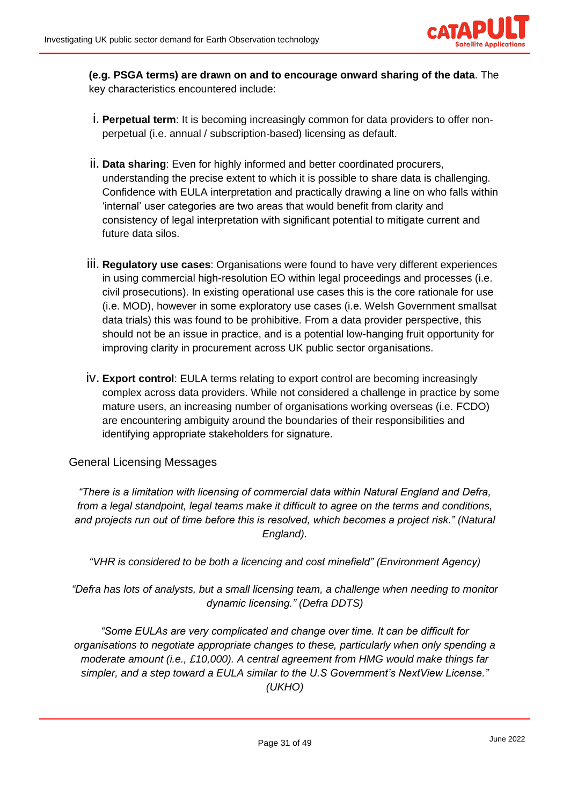

**(e.g. PSGA terms) are drawn on and to encourage onward sharing of the data**. The key characteristics encountered include:

- i. **Perpetual term**: It is becoming increasingly common for data providers to offer nonperpetual (i.e. annual / subscription-based) licensing as default.
- ii. **Data sharing**: Even for highly informed and better coordinated procurers, understanding the precise extent to which it is possible to share data is challenging. Confidence with EULA interpretation and practically drawing a line on who falls within 'internal' user categories are two areas that would benefit from clarity and consistency of legal interpretation with significant potential to mitigate current and future data silos.
- iii. **Regulatory use cases**: Organisations were found to have very different experiences in using commercial high-resolution EO within legal proceedings and processes (i.e. civil prosecutions). In existing operational use cases this is the core rationale for use (i.e. MOD), however in some exploratory use cases (i.e. Welsh Government smallsat data trials) this was found to be prohibitive. From a data provider perspective, this should not be an issue in practice, and is a potential low-hanging fruit opportunity for improving clarity in procurement across UK public sector organisations.
- iv. **Export control**: EULA terms relating to export control are becoming increasingly complex across data providers. While not considered a challenge in practice by some mature users, an increasing number of organisations working overseas (i.e. FCDO) are encountering ambiguity around the boundaries of their responsibilities and identifying appropriate stakeholders for signature.

#### <span id="page-30-0"></span>General Licensing Messages

*"There is a limitation with licensing of commercial data within Natural England and Defra, from a legal standpoint, legal teams make it difficult to agree on the terms and conditions, and projects run out of time before this is resolved, which becomes a project risk." (Natural England).* 

*"VHR is considered to be both a licencing and cost minefield" (Environment Agency)*

*"Defra has lots of analysts, but a small licensing team, a challenge when needing to monitor dynamic licensing." (Defra DDTS)*

*"Some EULAs are very complicated and change over time. It can be difficult for organisations to negotiate appropriate changes to these, particularly when only spending a moderate amount (i.e., £10,000). A central agreement from HMG would make things far simpler, and a step toward a EULA similar to the U.S Government's NextView License." (UKHO)*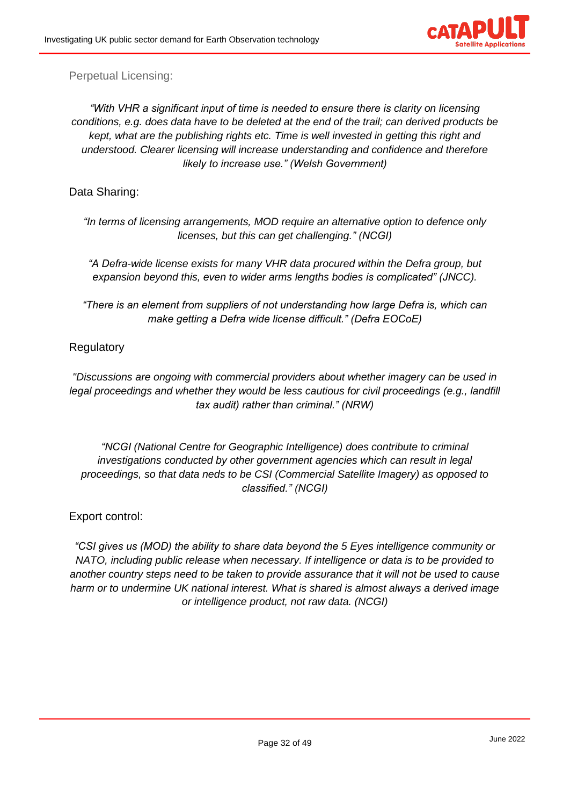

<span id="page-31-0"></span>Perpetual Licensing:

*"With VHR a significant input of time is needed to ensure there is clarity on licensing conditions, e.g. does data have to be deleted at the end of the trail; can derived products be kept, what are the publishing rights etc. Time is well invested in getting this right and understood. Clearer licensing will increase understanding and confidence and therefore likely to increase use." (Welsh Government)*

<span id="page-31-1"></span>Data Sharing:

*"In terms of licensing arrangements, MOD require an alternative option to defence only licenses, but this can get challenging." (NCGI)*

*"A Defra-wide license exists for many VHR data procured within the Defra group, but expansion beyond this, even to wider arms lengths bodies is complicated" (JNCC).*

*"There is an element from suppliers of not understanding how large Defra is, which can make getting a Defra wide license difficult." (Defra EOCoE)*

<span id="page-31-2"></span>**Regulatory** 

*"Discussions are ongoing with commercial providers about whether imagery can be used in legal proceedings and whether they would be less cautious for civil proceedings (e.g., landfill tax audit) rather than criminal." (NRW)*

*"NCGI (National Centre for Geographic Intelligence) does contribute to criminal investigations conducted by other government agencies which can result in legal proceedings, so that data neds to be CSI (Commercial Satellite Imagery) as opposed to classified." (NCGI)*

<span id="page-31-3"></span>Export control:

*"CSI gives us (MOD) the ability to share data beyond the 5 Eyes intelligence community or NATO, including public release when necessary. If intelligence or data is to be provided to another country steps need to be taken to provide assurance that it will not be used to cause harm or to undermine UK national interest. What is shared is almost always a derived image or intelligence product, not raw data. (NCGI)*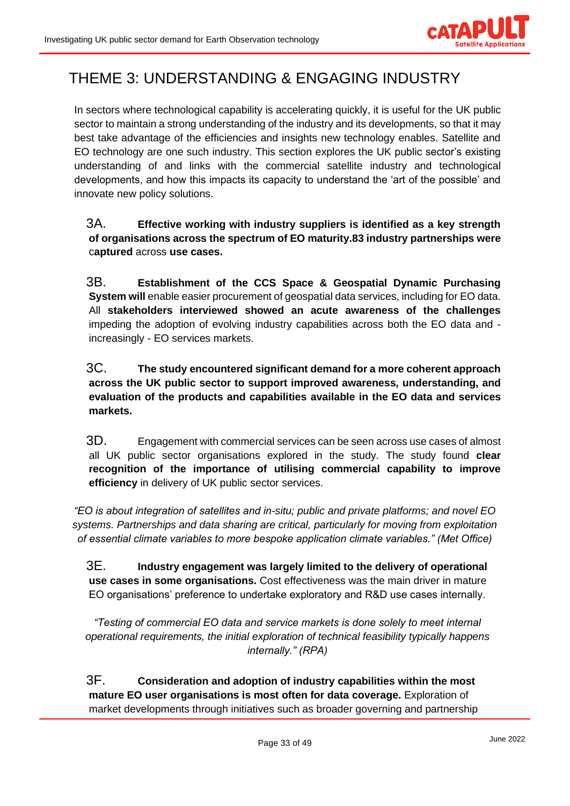

# <span id="page-32-0"></span>THEME 3: UNDERSTANDING & ENGAGING INDUSTRY

In sectors where technological capability is accelerating quickly, it is useful for the UK public sector to maintain a strong understanding of the industry and its developments, so that it may best take advantage of the efficiencies and insights new technology enables. Satellite and EO technology are one such industry. This section explores the UK public sector's existing understanding of and links with the commercial satellite industry and technological developments, and how this impacts its capacity to understand the 'art of the possible' and innovate new policy solutions.

### 3A. **Effective working with industry suppliers is identified as a key strength of organisations across the spectrum of EO maturity.83 industry partnerships were** c**aptured** across **use cases.**

3B. **Establishment of the CCS Space & Geospatial Dynamic Purchasing System will** enable easier procurement of geospatial data services, including for EO data. All **stakeholders interviewed showed an acute awareness of the challenges** impeding the adoption of evolving industry capabilities across both the EO data and increasingly - EO services markets.

### 3C. **The study encountered significant demand for a more coherent approach across the UK public sector to support improved awareness, understanding, and evaluation of the products and capabilities available in the EO data and services markets.**

3D. Engagement with commercial services can be seen across use cases of almost all UK public sector organisations explored in the study. The study found **clear recognition of the importance of utilising commercial capability to improve efficiency** in delivery of UK public sector services.

*"EO is about integration of satellites and in-situ; public and private platforms; and novel EO systems. Partnerships and data sharing are critical, particularly for moving from exploitation of essential climate variables to more bespoke application climate variables." (Met Office)*

3E. **Industry engagement was largely limited to the delivery of operational use cases in some organisations.** Cost effectiveness was the main driver in mature EO organisations' preference to undertake exploratory and R&D use cases internally.

*"Testing of commercial EO data and service markets is done solely to meet internal operational requirements, the initial exploration of technical feasibility typically happens internally." (RPA)*

3F. **Consideration and adoption of industry capabilities within the most mature EO user organisations is most often for data coverage.** Exploration of market developments through initiatives such as broader governing and partnership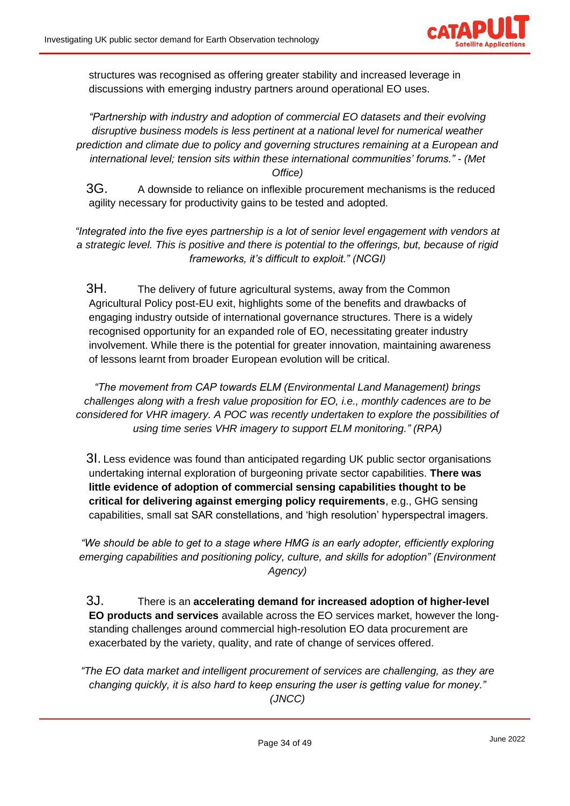

structures was recognised as offering greater stability and increased leverage in discussions with emerging industry partners around operational EO uses.

*"Partnership with industry and adoption of commercial EO datasets and their evolving disruptive business models is less pertinent at a national level for numerical weather prediction and climate due to policy and governing structures remaining at a European and international level; tension sits within these international communities' forums." - (Met Office)* 

3G. A downside to reliance on inflexible procurement mechanisms is the reduced agility necessary for productivity gains to be tested and adopted.

*"Integrated into the five eyes partnership is a lot of senior level engagement with vendors at a strategic level. This is positive and there is potential to the offerings, but, because of rigid frameworks, it's difficult to exploit." (NCGI)*

3H. The delivery of future agricultural systems, away from the Common Agricultural Policy post-EU exit, highlights some of the benefits and drawbacks of engaging industry outside of international governance structures. There is a widely recognised opportunity for an expanded role of EO, necessitating greater industry involvement. While there is the potential for greater innovation, maintaining awareness of lessons learnt from broader European evolution will be critical.

*"The movement from CAP towards ELM (Environmental Land Management) brings challenges along with a fresh value proposition for EO, i.e., monthly cadences are to be considered for VHR imagery. A POC was recently undertaken to explore the possibilities of using time series VHR imagery to support ELM monitoring." (RPA)* 

3I. Less evidence was found than anticipated regarding UK public sector organisations undertaking internal exploration of burgeoning private sector capabilities. **There was little evidence of adoption of commercial sensing capabilities thought to be critical for delivering against emerging policy requirements**, e.g., GHG sensing capabilities, small sat SAR constellations, and 'high resolution' hyperspectral imagers.

*"We should be able to get to a stage where HMG is an early adopter, efficiently exploring emerging capabilities and positioning policy, culture, and skills for adoption" (Environment Agency)*

3J. There is an **accelerating demand for increased adoption of higher-level EO products and services** available across the EO services market, however the longstanding challenges around commercial high-resolution EO data procurement are exacerbated by the variety, quality, and rate of change of services offered.

*"The EO data market and intelligent procurement of services are challenging, as they are changing quickly, it is also hard to keep ensuring the user is getting value for money." (JNCC)*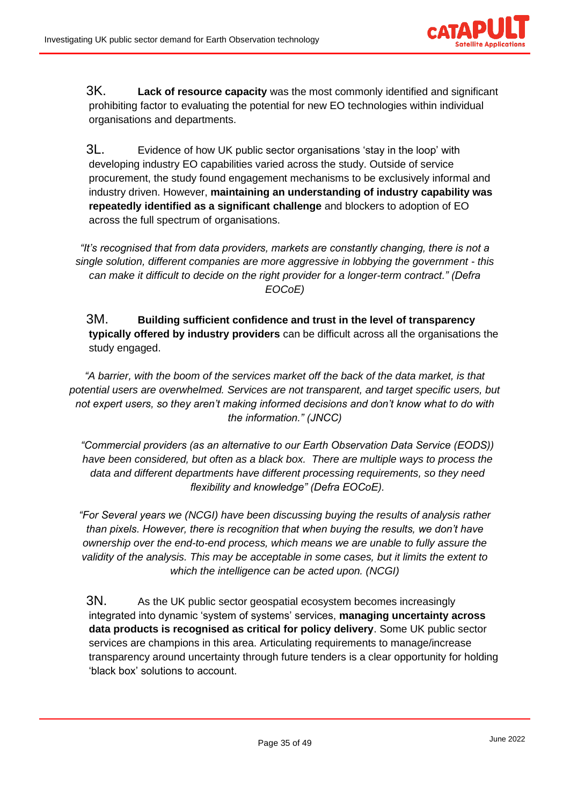

3K. **Lack of resource capacity** was the most commonly identified and significant prohibiting factor to evaluating the potential for new EO technologies within individual organisations and departments.

3L. Evidence of how UK public sector organisations 'stay in the loop' with developing industry EO capabilities varied across the study. Outside of service procurement, the study found engagement mechanisms to be exclusively informal and industry driven. However, **maintaining an understanding of industry capability was repeatedly identified as a significant challenge** and blockers to adoption of EO across the full spectrum of organisations.

*"It's recognised that from data providers, markets are constantly changing, there is not a single solution, different companies are more aggressive in lobbying the government - this can make it difficult to decide on the right provider for a longer-term contract." (Defra EOCoE)* 

3M. **Building sufficient confidence and trust in the level of transparency typically offered by industry providers** can be difficult across all the organisations the study engaged.

*"A barrier, with the boom of the services market off the back of the data market, is that potential users are overwhelmed. Services are not transparent, and target specific users, but not expert users, so they aren't making informed decisions and don't know what to do with the information." (JNCC)*

*"Commercial providers (as an alternative to our Earth Observation Data Service (EODS)) have been considered, but often as a black box. There are multiple ways to process the data and different departments have different processing requirements, so they need flexibility and knowledge" (Defra EOCoE).* 

*"For Several years we (NCGI) have been discussing buying the results of analysis rather than pixels. However, there is recognition that when buying the results, we don't have ownership over the end-to-end process, which means we are unable to fully assure the validity of the analysis. This may be acceptable in some cases, but it limits the extent to which the intelligence can be acted upon. (NCGI)*

3N. As the UK public sector geospatial ecosystem becomes increasingly integrated into dynamic 'system of systems' services, **managing uncertainty across data products is recognised as critical for policy delivery**. Some UK public sector services are champions in this area. Articulating requirements to manage/increase transparency around uncertainty through future tenders is a clear opportunity for holding 'black box' solutions to account.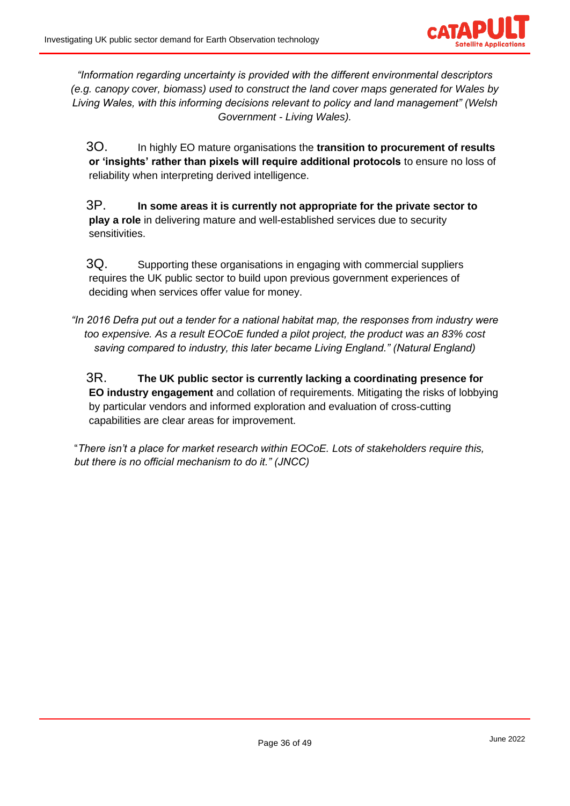

*"Information regarding uncertainty is provided with the different environmental descriptors (e.g. canopy cover, biomass) used to construct the land cover maps generated for Wales by Living Wales, with this informing decisions relevant to policy and land management" (Welsh Government - Living Wales).*

3O. In highly EO mature organisations the **transition to procurement of results or 'insights' rather than pixels will require additional protocols** to ensure no loss of reliability when interpreting derived intelligence.

3P. **In some areas it is currently not appropriate for the private sector to play a role** in delivering mature and well-established services due to security sensitivities.

3Q. Supporting these organisations in engaging with commercial suppliers requires the UK public sector to build upon previous government experiences of deciding when services offer value for money.

*"In 2016 Defra put out a tender for a national habitat map, the responses from industry were too expensive. As a result EOCoE funded a pilot project, the product was an 83% cost saving compared to industry, this later became Living England." (Natural England)* 

3R. **The UK public sector is currently lacking a coordinating presence for EO industry engagement** and collation of requirements. Mitigating the risks of lobbying by particular vendors and informed exploration and evaluation of cross-cutting capabilities are clear areas for improvement.

"*There isn't a place for market research within EOCoE. Lots of stakeholders require this, but there is no official mechanism to do it." (JNCC)*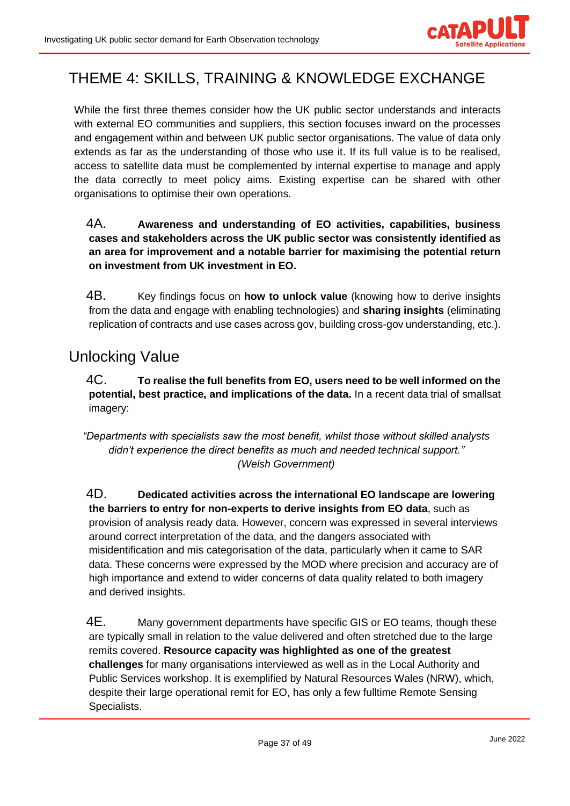

# <span id="page-36-0"></span>THEME 4: SKILLS, TRAINING & KNOWLEDGE EXCHANGE

While the first three themes consider how the UK public sector understands and interacts with external EO communities and suppliers, this section focuses inward on the processes and engagement within and between UK public sector organisations. The value of data only extends as far as the understanding of those who use it. If its full value is to be realised, access to satellite data must be complemented by internal expertise to manage and apply the data correctly to meet policy aims. Existing expertise can be shared with other organisations to optimise their own operations.

### 4A. **Awareness and understanding of EO activities, capabilities, business cases and stakeholders across the UK public sector was consistently identified as an area for improvement and a notable barrier for maximising the potential return on investment from UK investment in EO.**

4B. Key findings focus on **how to unlock value** (knowing how to derive insights from the data and engage with enabling technologies) and **sharing insights** (eliminating replication of contracts and use cases across gov, building cross-gov understanding, etc.).

# <span id="page-36-1"></span>Unlocking Value

4C. **To realise the full benefits from EO, users need to be well informed on the potential, best practice, and implications of the data.** In a recent data trial of smallsat imagery:

*"Departments with specialists saw the most benefit, whilst those without skilled analysts didn't experience the direct benefits as much and needed technical support." (Welsh Government)*

4D. **Dedicated activities across the international EO landscape are lowering the barriers to entry for non-experts to derive insights from EO data**, such as provision of analysis ready data. However, concern was expressed in several interviews around correct interpretation of the data, and the dangers associated with misidentification and mis categorisation of the data, particularly when it came to SAR data. These concerns were expressed by the MOD where precision and accuracy are of high importance and extend to wider concerns of data quality related to both imagery and derived insights.

4E. Many government departments have specific GIS or EO teams, though these are typically small in relation to the value delivered and often stretched due to the large remits covered. **Resource capacity was highlighted as one of the greatest challenges** for many organisations interviewed as well as in the Local Authority and Public Services workshop. It is exemplified by Natural Resources Wales (NRW), which, despite their large operational remit for EO, has only a few fulltime Remote Sensing Specialists.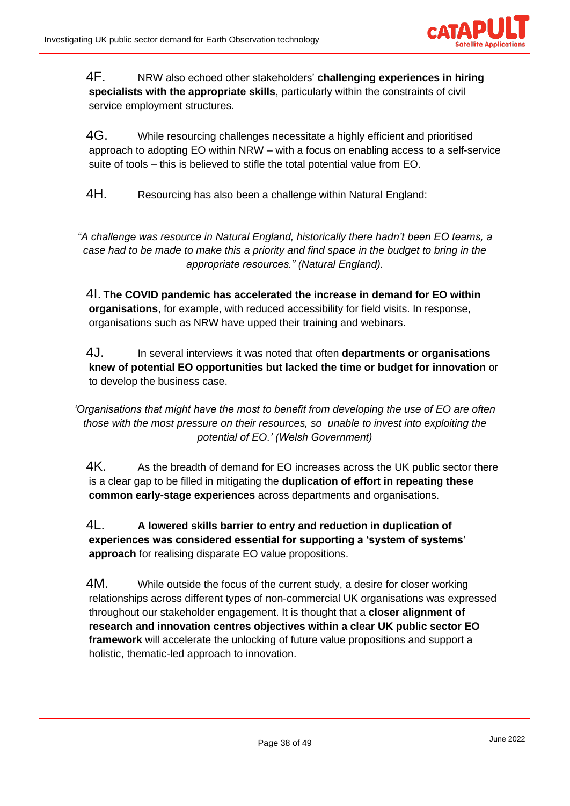

4F. NRW also echoed other stakeholders' **challenging experiences in hiring specialists with the appropriate skills**, particularly within the constraints of civil service employment structures.

4G. While resourcing challenges necessitate a highly efficient and prioritised approach to adopting EO within NRW – with a focus on enabling access to a self-service suite of tools – this is believed to stifle the total potential value from EO.

4H. Resourcing has also been a challenge within Natural England:

*"A challenge was resource in Natural England, historically there hadn't been EO teams, a case had to be made to make this a priority and find space in the budget to bring in the appropriate resources." (Natural England).*

4I. **The COVID pandemic has accelerated the increase in demand for EO within organisations**, for example, with reduced accessibility for field visits. In response, organisations such as NRW have upped their training and webinars.

4J. In several interviews it was noted that often **departments or organisations knew of potential EO opportunities but lacked the time or budget for innovation** or to develop the business case.

*'Organisations that might have the most to benefit from developing the use of EO are often those with the most pressure on their resources, so unable to invest into exploiting the potential of EO.' (Welsh Government)*

4K. As the breadth of demand for EO increases across the UK public sector there is a clear gap to be filled in mitigating the **duplication of effort in repeating these common early-stage experiences** across departments and organisations.

4L. **A lowered skills barrier to entry and reduction in duplication of experiences was considered essential for supporting a 'system of systems' approach** for realising disparate EO value propositions.

4M. While outside the focus of the current study, a desire for closer working relationships across different types of non-commercial UK organisations was expressed throughout our stakeholder engagement. It is thought that a **closer alignment of research and innovation centres objectives within a clear UK public sector EO framework** will accelerate the unlocking of future value propositions and support a holistic, thematic-led approach to innovation.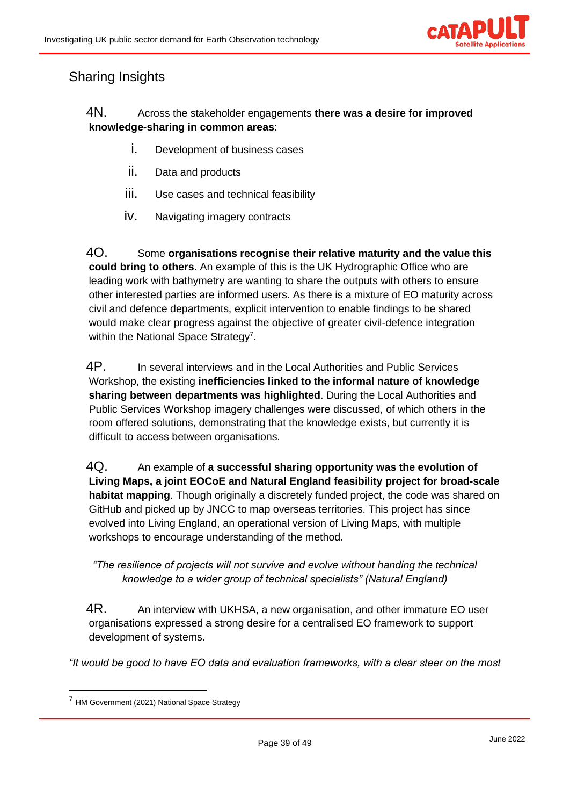

## <span id="page-38-0"></span>Sharing Insights

### 4N. Across the stakeholder engagements **there was a desire for improved knowledge-sharing in common areas**:

- i. Development of business cases
- ii. Data and products
- iii. Use cases and technical feasibility
- iv. Navigating imagery contracts

4O. Some **organisations recognise their relative maturity and the value this could bring to others**. An example of this is the UK Hydrographic Office who are leading work with bathymetry are wanting to share the outputs with others to ensure other interested parties are informed users. As there is a mixture of EO maturity across civil and defence departments, explicit intervention to enable findings to be shared would make clear progress against the objective of greater civil-defence integration within the National Space Strategy<sup>7</sup>.

4P. In several interviews and in the Local Authorities and Public Services Workshop, the existing **inefficiencies linked to the informal nature of knowledge sharing between departments was highlighted**. During the Local Authorities and Public Services Workshop imagery challenges were discussed, of which others in the room offered solutions, demonstrating that the knowledge exists, but currently it is difficult to access between organisations.

4Q. An example of **a successful sharing opportunity was the evolution of Living Maps, a joint EOCoE and Natural England feasibility project for broad-scale habitat mapping**. Though originally a discretely funded project, the code was shared on GitHub and picked up by JNCC to map overseas territories. This project has since evolved into Living England, an operational version of Living Maps, with multiple workshops to encourage understanding of the method.

*"The resilience of projects will not survive and evolve without handing the technical knowledge to a wider group of technical specialists" (Natural England)*

4R. An interview with UKHSA, a new organisation, and other immature EO user organisations expressed a strong desire for a centralised EO framework to support development of systems.

*"It would be good to have EO data and evaluation frameworks, with a clear steer on the most* 

<sup>7</sup> HM Government (2021) National Space Strategy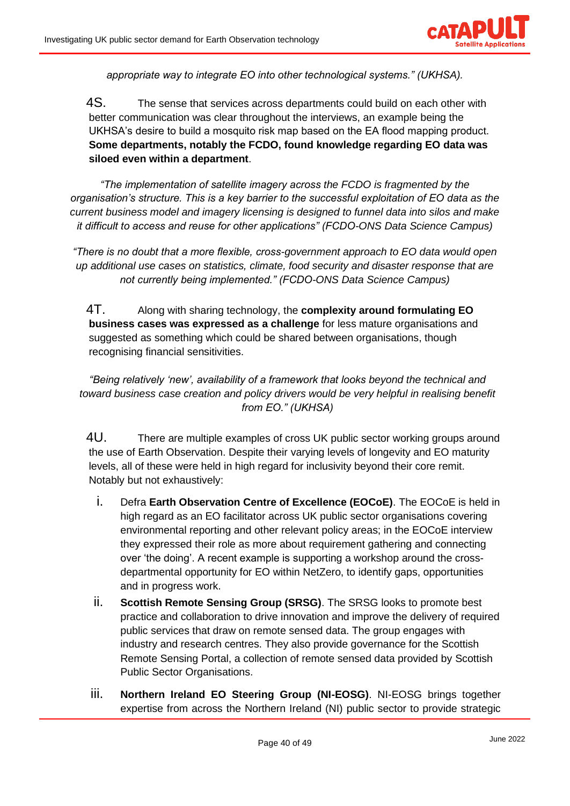

*appropriate way to integrate EO into other technological systems." (UKHSA).*

4S. The sense that services across departments could build on each other with better communication was clear throughout the interviews, an example being the UKHSA's desire to build a mosquito risk map based on the EA flood mapping product. **Some departments, notably the FCDO, found knowledge regarding EO data was siloed even within a department**.

*"The implementation of satellite imagery across the FCDO is fragmented by the organisation's structure. This is a key barrier to the successful exploitation of EO data as the current business model and imagery licensing is designed to funnel data into silos and make it difficult to access and reuse for other applications" (FCDO-ONS Data Science Campus)* 

*"There is no doubt that a more flexible, cross-government approach to EO data would open up additional use cases on statistics, climate, food security and disaster response that are not currently being implemented." (FCDO-ONS Data Science Campus)*

4T. Along with sharing technology, the **complexity around formulating EO business cases was expressed as a challenge** for less mature organisations and suggested as something which could be shared between organisations, though recognising financial sensitivities.

*"Being relatively 'new', availability of a framework that looks beyond the technical and toward business case creation and policy drivers would be very helpful in realising benefit from EO." (UKHSA)*

4U. There are multiple examples of cross UK public sector working groups around the use of Earth Observation. Despite their varying levels of longevity and EO maturity levels, all of these were held in high regard for inclusivity beyond their core remit. Notably but not exhaustively:

- i. Defra **Earth Observation Centre of Excellence (EOCoE)**. The EOCoE is held in high regard as an EO facilitator across UK public sector organisations covering environmental reporting and other relevant policy areas; in the EOCoE interview they expressed their role as more about requirement gathering and connecting over 'the doing'. A recent example is supporting a workshop around the crossdepartmental opportunity for EO within NetZero, to identify gaps, opportunities and in progress work.
- ii. **Scottish Remote Sensing Group (SRSG)**. The SRSG looks to promote best practice and collaboration to drive innovation and improve the delivery of required public services that draw on remote sensed data. The group engages with industry and research centres. They also provide governance for the Scottish Remote Sensing Portal, a collection of remote sensed data provided by Scottish Public Sector Organisations.
- iii. **Northern Ireland EO Steering Group (NI-EOSG)**. NI-EOSG brings together expertise from across the Northern Ireland (NI) public sector to provide strategic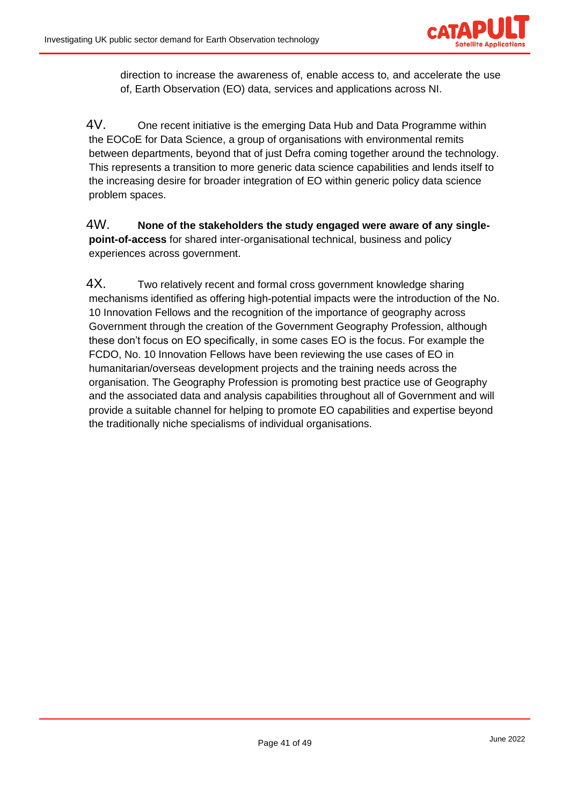

direction to increase the awareness of, enable access to, and accelerate the use of, Earth Observation (EO) data, services and applications across NI.

4V. One recent initiative is the emerging Data Hub and Data Programme within the EOCoE for Data Science, a group of organisations with environmental remits between departments, beyond that of just Defra coming together around the technology. This represents a transition to more generic data science capabilities and lends itself to the increasing desire for broader integration of EO within generic policy data science problem spaces.

4W. **None of the stakeholders the study engaged were aware of any singlepoint-of-access** for shared inter-organisational technical, business and policy experiences across government.

4X. Two relatively recent and formal cross government knowledge sharing mechanisms identified as offering high-potential impacts were the introduction of the No. 10 Innovation Fellows and the recognition of the importance of geography across Government through the creation of the Government Geography Profession, although these don't focus on EO specifically, in some cases EO is the focus. For example the FCDO, No. 10 Innovation Fellows have been reviewing the use cases of EO in humanitarian/overseas development projects and the training needs across the organisation. The Geography Profession is promoting best practice use of Geography and the associated data and analysis capabilities throughout all of Government and will provide a suitable channel for helping to promote EO capabilities and expertise beyond the traditionally niche specialisms of individual organisations.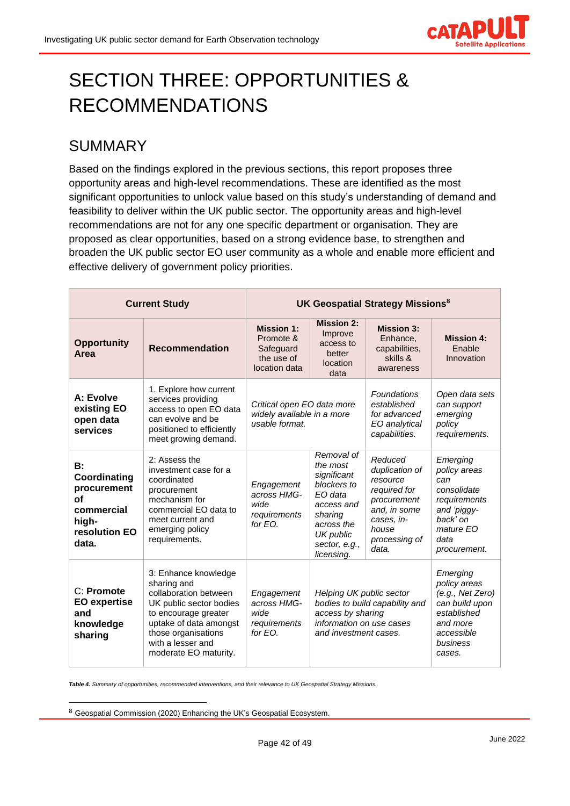

# <span id="page-41-0"></span>SECTION THREE: OPPORTUNITIES & RECOMMENDATIONS

# <span id="page-41-1"></span>SUMMARY

Based on the findings explored in the previous sections, this report proposes three opportunity areas and high-level recommendations. These are identified as the most significant opportunities to unlock value based on this study's understanding of demand and feasibility to deliver within the UK public sector. The opportunity areas and high-level recommendations are not for any one specific department or organisation. They are proposed as clear opportunities, based on a strong evidence base, to strengthen and broaden the UK public sector EO user community as a whole and enable more efficient and effective delivery of government policy priorities.

| <b>Current Study</b>                                                                            |                                                                                                                                                                                                                | UK Geospatial Strategy Missions <sup>8</sup>                               |                                                                                                                                                    |                                                                                                                                       |                                                                                                                                |
|-------------------------------------------------------------------------------------------------|----------------------------------------------------------------------------------------------------------------------------------------------------------------------------------------------------------------|----------------------------------------------------------------------------|----------------------------------------------------------------------------------------------------------------------------------------------------|---------------------------------------------------------------------------------------------------------------------------------------|--------------------------------------------------------------------------------------------------------------------------------|
| <b>Opportunity</b><br>Area                                                                      | <b>Recommendation</b>                                                                                                                                                                                          | <b>Mission 1:</b><br>Promote &<br>Safeguard<br>the use of<br>location data | <b>Mission 2:</b><br>Improve<br>access to<br>better<br>location<br>data                                                                            | <b>Mission 3:</b><br>Enhance.<br>capabilities.<br>skills &<br>awareness                                                               | <b>Mission 4:</b><br>Enable<br>Innovation                                                                                      |
| A: Evolve<br>existing EO<br>open data<br>services                                               | 1. Explore how current<br>services providing<br>access to open EO data<br>can evolve and be<br>positioned to efficiently<br>meet growing demand.                                                               | Critical open EO data more<br>widely available in a more<br>usable format. |                                                                                                                                                    | <b>Foundations</b><br>established<br>for advanced<br>EO analytical<br>capabilities.                                                   | Open data sets<br>can support<br>emerging<br>policy<br>requirements.                                                           |
| B:<br>Coordinating<br>procurement<br><b>of</b><br>commercial<br>high-<br>resolution EO<br>data. | 2: Assess the<br>investment case for a<br>coordinated<br>procurement<br>mechanism for<br>commercial EO data to<br>meet current and<br>emerging policy<br>requirements.                                         | Engagement<br>across HMG-<br>wide<br>requirements<br>for $FO$ .            | Removal of<br>the most<br>significant<br>blockers to<br>EO data<br>access and<br>sharing<br>across the<br>UK public<br>sector, e.g.,<br>licensing. | Reduced<br>duplication of<br>resource<br>required for<br>procurement<br>and, in some<br>cases, in-<br>house<br>processing of<br>data. | Emerging<br>policy areas<br>can<br>consolidate<br>requirements<br>and 'piggy-<br>back' on<br>mature EO<br>data<br>procurement. |
| C: Promote<br><b>EO</b> expertise<br>and<br>knowledge<br>sharing                                | 3: Enhance knowledge<br>sharing and<br>collaboration between<br>UK public sector bodies<br>to encourage greater<br>uptake of data amongst<br>those organisations<br>with a lesser and<br>moderate EO maturity. | Engagement<br>across HMG-<br>wide<br>requirements<br>for EO.               | Helping UK public sector<br>bodies to build capability and<br>access by sharing<br>information on use cases<br>and investment cases.               |                                                                                                                                       | Emerging<br>policy areas<br>(e.g., Net Zero)<br>can build upon<br>established<br>and more<br>accessible<br>business<br>cases.  |

*Table 4. Summary of opportunities, recommended interventions, and their relevance to UK Geospatial Strategy Missions.*

<sup>8</sup> Geospatial Commission (2020) Enhancing the UK's Geospatial Ecosystem.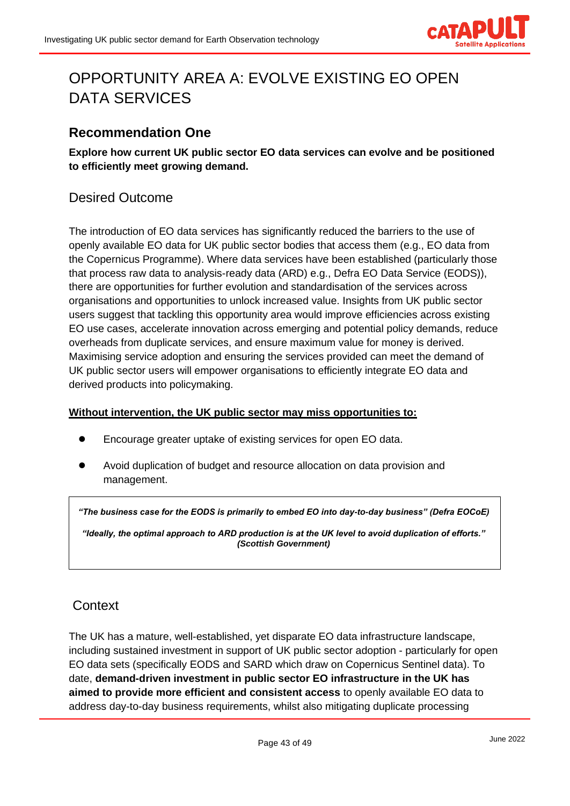

# <span id="page-42-0"></span>OPPORTUNITY AREA A: EVOLVE EXISTING EO OPEN DATA SERVICES

### <span id="page-42-1"></span>**Recommendation One**

**Explore how current UK public sector EO data services can evolve and be positioned to efficiently meet growing demand.**

## <span id="page-42-2"></span>Desired Outcome

The introduction of EO data services has significantly reduced the barriers to the use of openly available EO data for UK public sector bodies that access them (e.g., EO data from the Copernicus Programme). Where data services have been established (particularly those that process raw data to analysis-ready data (ARD) e.g., Defra EO Data Service (EODS)), there are opportunities for further evolution and standardisation of the services across organisations and opportunities to unlock increased value. Insights from UK public sector users suggest that tackling this opportunity area would improve efficiencies across existing EO use cases, accelerate innovation across emerging and potential policy demands, reduce overheads from duplicate services, and ensure maximum value for money is derived. Maximising service adoption and ensuring the services provided can meet the demand of UK public sector users will empower organisations to efficiently integrate EO data and derived products into policymaking.

#### **Without intervention, the UK public sector may miss opportunities to:**

- Encourage greater uptake of existing services for open EO data.
- Avoid duplication of budget and resource allocation on data provision and management.

*"The business case for the EODS is primarily to embed EO into day-to-day business" (Defra EOCoE)*

*"Ideally, the optimal approach to ARD production is at the UK level to avoid duplication of efforts." (Scottish Government)*

### <span id="page-42-3"></span>**Context**

The UK has a mature, well-established, yet disparate EO data infrastructure landscape, including sustained investment in support of UK public sector adoption - particularly for open EO data sets (specifically EODS and SARD which draw on Copernicus Sentinel data). To date, **demand-driven investment in public sector EO infrastructure in the UK has aimed to provide more efficient and consistent access** to openly available EO data to address day-to-day business requirements, whilst also mitigating duplicate processing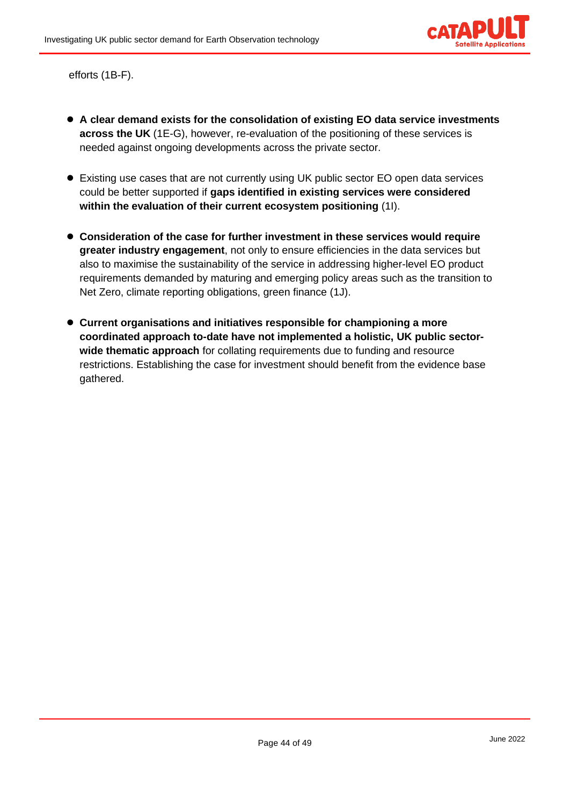

efforts (1B-F).

- **A clear demand exists for the consolidation of existing EO data service investments across the UK** (1E-G), however, re-evaluation of the positioning of these services is needed against ongoing developments across the private sector.
- Existing use cases that are not currently using UK public sector EO open data services could be better supported if **gaps identified in existing services were considered within the evaluation of their current ecosystem positioning** (1I).
- **Consideration of the case for further investment in these services would require greater industry engagement**, not only to ensure efficiencies in the data services but also to maximise the sustainability of the service in addressing higher-level EO product requirements demanded by maturing and emerging policy areas such as the transition to Net Zero, climate reporting obligations, green finance (1J).
- **Current organisations and initiatives responsible for championing a more coordinated approach to-date have not implemented a holistic, UK public sectorwide thematic approach** for collating requirements due to funding and resource restrictions. Establishing the case for investment should benefit from the evidence base gathered.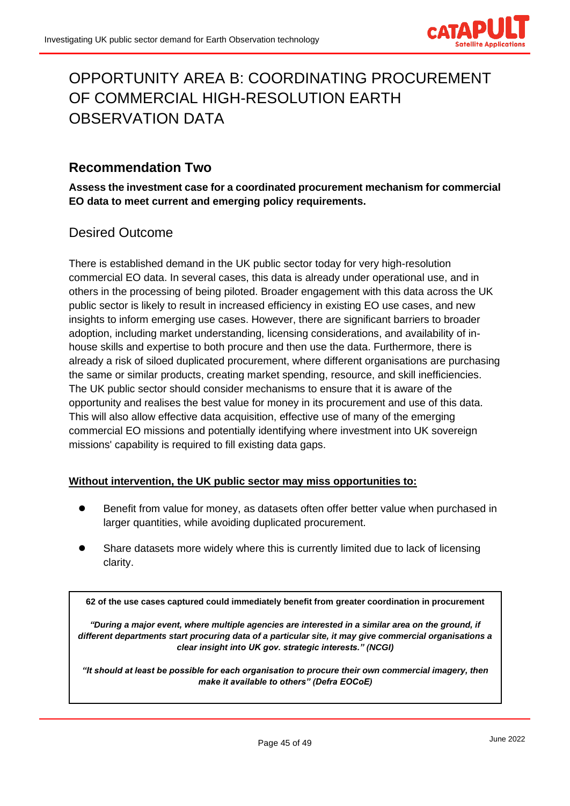

# <span id="page-44-0"></span>OPPORTUNITY AREA B: COORDINATING PROCUREMENT OF COMMERCIAL HIGH-RESOLUTION EARTH OBSERVATION DATA

### <span id="page-44-1"></span>**Recommendation Two**

**Assess the investment case for a coordinated procurement mechanism for commercial EO data to meet current and emerging policy requirements.**

### <span id="page-44-2"></span>Desired Outcome

There is established demand in the UK public sector today for very high-resolution commercial EO data. In several cases, this data is already under operational use, and in others in the processing of being piloted. Broader engagement with this data across the UK public sector is likely to result in increased efficiency in existing EO use cases, and new insights to inform emerging use cases. However, there are significant barriers to broader adoption, including market understanding, licensing considerations, and availability of inhouse skills and expertise to both procure and then use the data. Furthermore, there is already a risk of siloed duplicated procurement, where different organisations are purchasing the same or similar products, creating market spending, resource, and skill inefficiencies. The UK public sector should consider mechanisms to ensure that it is aware of the opportunity and realises the best value for money in its procurement and use of this data. This will also allow effective data acquisition, effective use of many of the emerging commercial EO missions and potentially identifying where investment into UK sovereign missions' capability is required to fill existing data gaps.

#### **Without intervention, the UK public sector may miss opportunities to:**

- Benefit from value for money, as datasets often offer better value when purchased in larger quantities, while avoiding duplicated procurement.
- Share datasets more widely where this is currently limited due to lack of licensing clarity.

**62 of the use cases captured could immediately benefit from greater coordination in procurement**

*"During a major event, where multiple agencies are interested in a similar area on the ground, if different departments start procuring data of a particular site, it may give commercial organisations a clear insight into UK gov. strategic interests." (NCGI)*

*"It should at least be possible for each organisation to procure their own commercial imagery, then make it available to others" (Defra EOCoE)*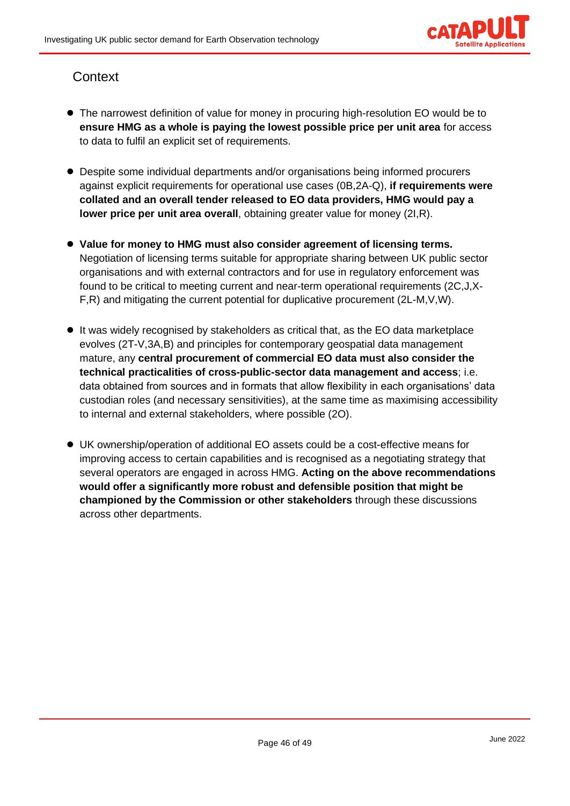

# <span id="page-45-0"></span>**Context**

- The narrowest definition of value for money in procuring high-resolution EO would be to **ensure HMG as a whole is paying the lowest possible price per unit area** for access to data to fulfil an explicit set of requirements.
- Despite some individual departments and/or organisations being informed procurers against explicit requirements for operational use cases (0B,2A-Q), **if requirements were collated and an overall tender released to EO data providers, HMG would pay a lower price per unit area overall**, obtaining greater value for money (2I,R).
- Value for money to HMG must also consider agreement of licensing terms. Negotiation of licensing terms suitable for appropriate sharing between UK public sector organisations and with external contractors and for use in regulatory enforcement was found to be critical to meeting current and near-term operational requirements (2C,J,X-F,R) and mitigating the current potential for duplicative procurement (2L-M,V,W).
- It was widely recognised by stakeholders as critical that, as the EO data marketplace evolves (2T-V,3A,B) and principles for contemporary geospatial data management mature, any **central procurement of commercial EO data must also consider the technical practicalities of cross-public-sector data management and access**; i.e. data obtained from sources and in formats that allow flexibility in each organisations' data custodian roles (and necessary sensitivities), at the same time as maximising accessibility to internal and external stakeholders, where possible (2O).
- UK ownership/operation of additional EO assets could be a cost-effective means for improving access to certain capabilities and is recognised as a negotiating strategy that several operators are engaged in across HMG. **Acting on the above recommendations would offer a significantly more robust and defensible position that might be championed by the Commission or other stakeholders** through these discussions across other departments.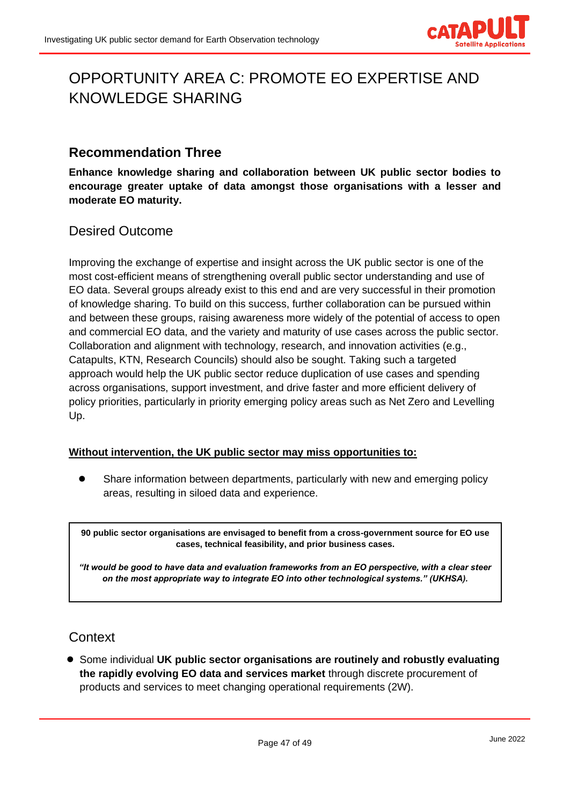

# <span id="page-46-0"></span>OPPORTUNITY AREA C: PROMOTE EO EXPERTISE AND KNOWLEDGE SHARING

### <span id="page-46-1"></span>**Recommendation Three**

**Enhance knowledge sharing and collaboration between UK public sector bodies to encourage greater uptake of data amongst those organisations with a lesser and moderate EO maturity.**

<span id="page-46-2"></span>Desired Outcome

Improving the exchange of expertise and insight across the UK public sector is one of the most cost-efficient means of strengthening overall public sector understanding and use of EO data. Several groups already exist to this end and are very successful in their promotion of knowledge sharing. To build on this success, further collaboration can be pursued within and between these groups, raising awareness more widely of the potential of access to open and commercial EO data, and the variety and maturity of use cases across the public sector. Collaboration and alignment with technology, research, and innovation activities (e.g., Catapults, KTN, Research Councils) should also be sought. Taking such a targeted approach would help the UK public sector reduce duplication of use cases and spending across organisations, support investment, and drive faster and more efficient delivery of policy priorities, particularly in priority emerging policy areas such as Net Zero and Levelling Up.

#### **Without intervention, the UK public sector may miss opportunities to:**

Share information between departments, particularly with new and emerging policy areas, resulting in siloed data and experience.

**90 public sector organisations are envisaged to benefit from a cross-government source for EO use cases, technical feasibility, and prior business cases.**

*"It would be good to have data and evaluation frameworks from an EO perspective, with a clear steer on the most appropriate way to integrate EO into other technological systems." (UKHSA).*

### <span id="page-46-3"></span>**Context**

● Some individual **UK public sector organisations are routinely and robustly evaluating the rapidly evolving EO data and services market** through discrete procurement of products and services to meet changing operational requirements (2W).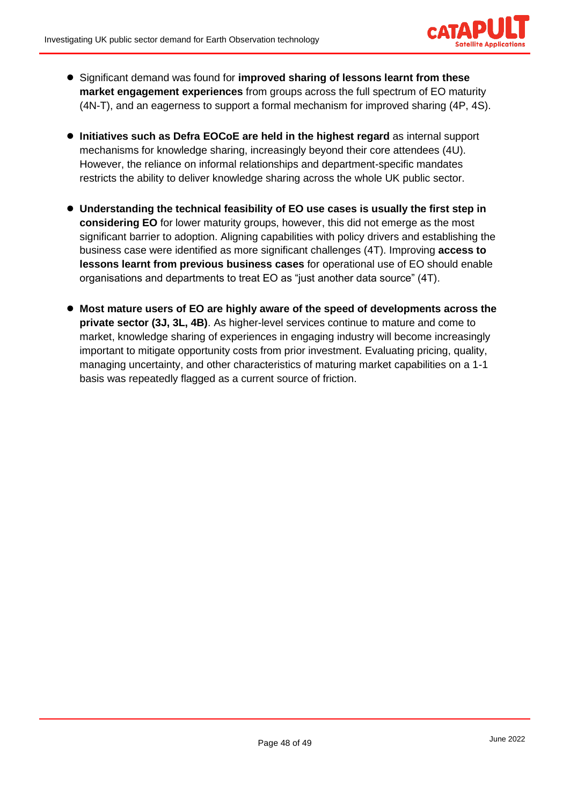

- Significant demand was found for **improved sharing of lessons learnt from these market engagement experiences** from groups across the full spectrum of EO maturity (4N-T), and an eagerness to support a formal mechanism for improved sharing (4P, 4S).
- **Initiatives such as Defra EOCoE are held in the highest regard** as internal support mechanisms for knowledge sharing, increasingly beyond their core attendees (4U). However, the reliance on informal relationships and department-specific mandates restricts the ability to deliver knowledge sharing across the whole UK public sector.
- **Understanding the technical feasibility of EO use cases is usually the first step in considering EO** for lower maturity groups, however, this did not emerge as the most significant barrier to adoption. Aligning capabilities with policy drivers and establishing the business case were identified as more significant challenges (4T). Improving **access to lessons learnt from previous business cases** for operational use of EO should enable organisations and departments to treat EO as "just another data source" (4T).
- Most mature users of EO are highly aware of the speed of developments across the **private sector (3J, 3L, 4B)**. As higher-level services continue to mature and come to market, knowledge sharing of experiences in engaging industry will become increasingly important to mitigate opportunity costs from prior investment. Evaluating pricing, quality, managing uncertainty, and other characteristics of maturing market capabilities on a 1-1 basis was repeatedly flagged as a current source of friction.